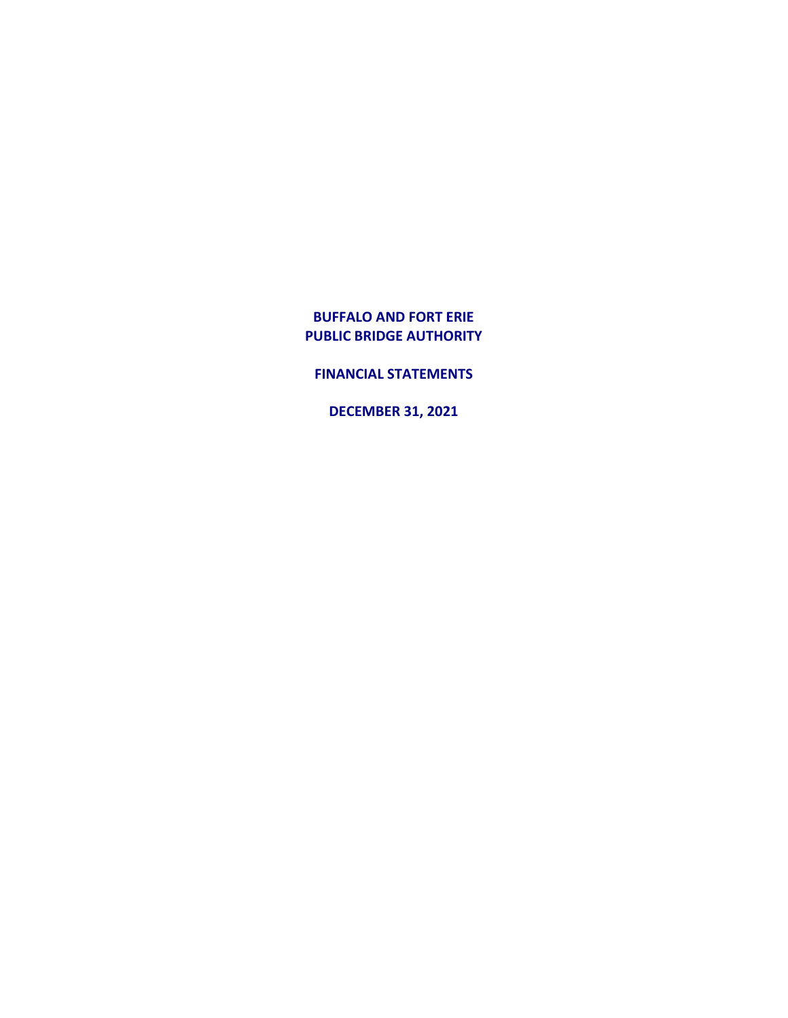**FINANCIAL STATEMENTS**

**DECEMBER 31, 2021**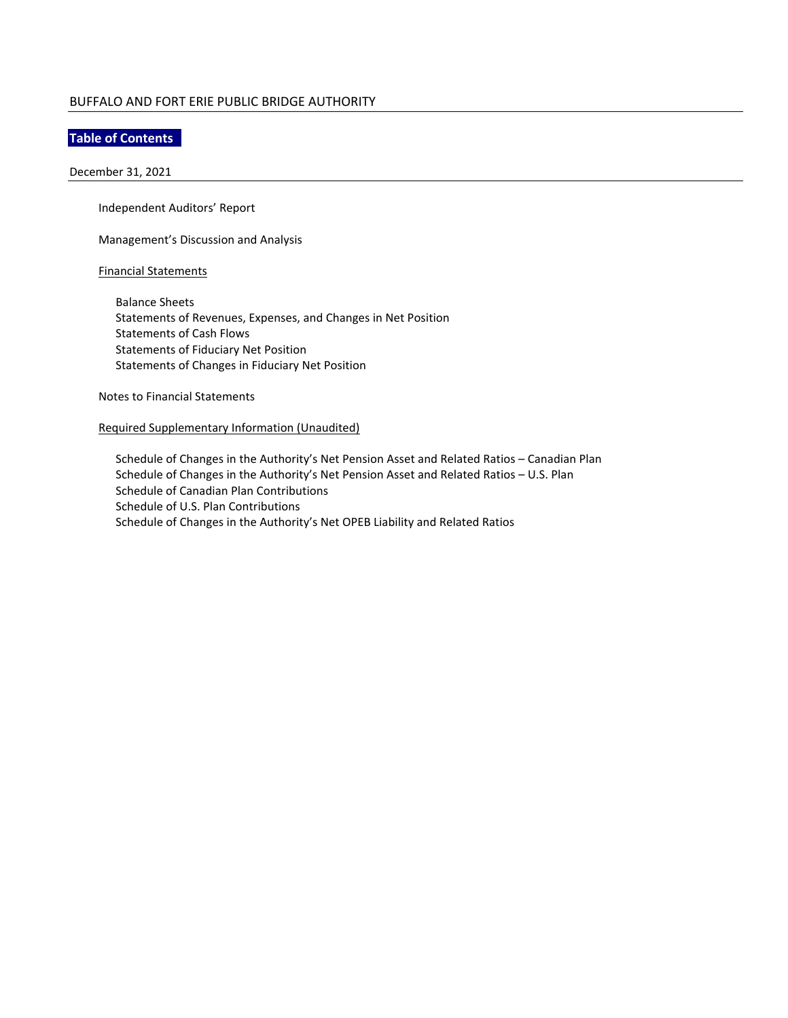# **Table of Contents**

December 31, 2021

Independent Auditors' Report

Management's Discussion and Analysis

### Financial Statements

Balance Sheets Statements of Revenues, Expenses, and Changes in Net Position Statements of Cash Flows Statements of Fiduciary Net Position Statements of Changes in Fiduciary Net Position

Notes to Financial Statements

### Required Supplementary Information (Unaudited)

Schedule of Changes in the Authority's Net Pension Asset and Related Ratios – Canadian Plan Schedule of Changes in the Authority's Net Pension Asset and Related Ratios – U.S. Plan Schedule of Canadian Plan Contributions Schedule of U.S. Plan Contributions Schedule of Changes in the Authority's Net OPEB Liability and Related Ratios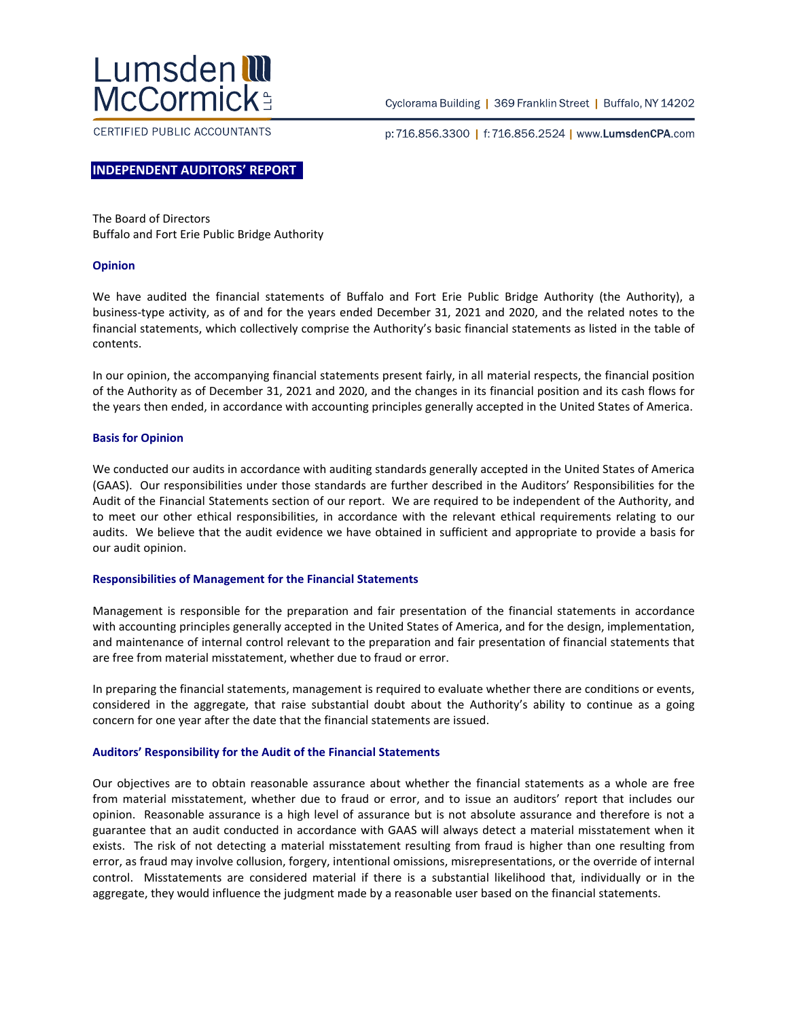

CERTIFIED PUBLIC ACCOUNTANTS

Cyclorama Building | 369 Franklin Street | Buffalo, NY 14202

p:716.856.3300 | f:716.856.2524 | www.LumsdenCPA.com

**INDEPENDENT AUDITORS' REPORT**

The Board of Directors Buffalo and Fort Erie Public Bridge Authority

## **Opinion**

We have audited the financial statements of Buffalo and Fort Erie Public Bridge Authority (the Authority), a business-type activity, as of and for the years ended December 31, 2021 and 2020, and the related notes to the financial statements, which collectively comprise the Authority's basic financial statements as listed in the table of contents.

In our opinion, the accompanying financial statements present fairly, in all material respects, the financial position of the Authority as of December 31, 2021 and 2020, and the changes in its financial position and its cash flows for the years then ended, in accordance with accounting principles generally accepted in the United States of America.

## **Basis for Opinion**

We conducted our audits in accordance with auditing standards generally accepted in the United States of America (GAAS). Our responsibilities under those standards are further described in the Auditors' Responsibilities for the Audit of the Financial Statements section of our report. We are required to be independent of the Authority, and to meet our other ethical responsibilities, in accordance with the relevant ethical requirements relating to our audits. We believe that the audit evidence we have obtained in sufficient and appropriate to provide a basis for our audit opinion.

### **Responsibilities of Management for the Financial Statements**

Management is responsible for the preparation and fair presentation of the financial statements in accordance with accounting principles generally accepted in the United States of America, and for the design, implementation, and maintenance of internal control relevant to the preparation and fair presentation of financial statements that are free from material misstatement, whether due to fraud or error.

In preparing the financial statements, management is required to evaluate whether there are conditions or events, considered in the aggregate, that raise substantial doubt about the Authority's ability to continue as a going concern for one year after the date that the financial statements are issued.

# **Auditors' Responsibility for the Audit of the Financial Statements**

Our objectives are to obtain reasonable assurance about whether the financial statements as a whole are free from material misstatement, whether due to fraud or error, and to issue an auditors' report that includes our opinion. Reasonable assurance is a high level of assurance but is not absolute assurance and therefore is not a guarantee that an audit conducted in accordance with GAAS will always detect a material misstatement when it exists. The risk of not detecting a material misstatement resulting from fraud is higher than one resulting from error, as fraud may involve collusion, forgery, intentional omissions, misrepresentations, or the override of internal control. Misstatements are considered material if there is a substantial likelihood that, individually or in the aggregate, they would influence the judgment made by a reasonable user based on the financial statements.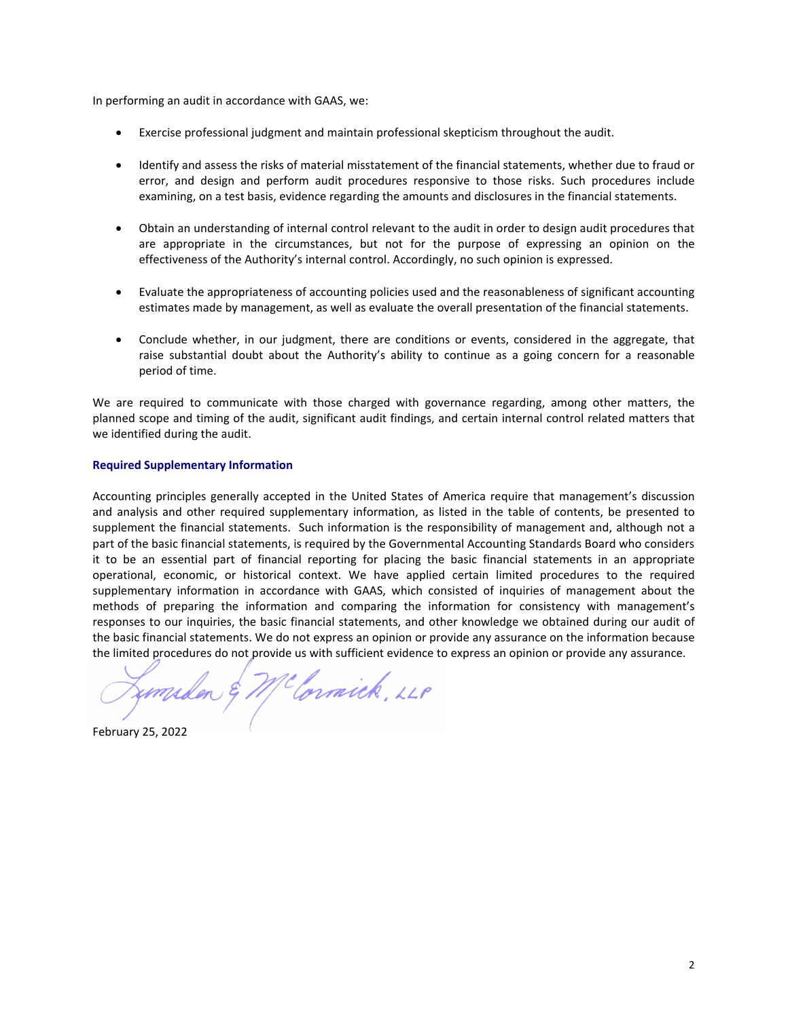In performing an audit in accordance with GAAS, we:

- Exercise professional judgment and maintain professional skepticism throughout the audit.
- Identify and assess the risks of material misstatement of the financial statements, whether due to fraud or error, and design and perform audit procedures responsive to those risks. Such procedures include examining, on a test basis, evidence regarding the amounts and disclosures in the financial statements.
- Obtain an understanding of internal control relevant to the audit in order to design audit procedures that are appropriate in the circumstances, but not for the purpose of expressing an opinion on the effectiveness of the Authority's internal control. Accordingly, no such opinion is expressed.
- Evaluate the appropriateness of accounting policies used and the reasonableness of significant accounting estimates made by management, as well as evaluate the overall presentation of the financial statements.
- Conclude whether, in our judgment, there are conditions or events, considered in the aggregate, that raise substantial doubt about the Authority's ability to continue as a going concern for a reasonable period of time.

We are required to communicate with those charged with governance regarding, among other matters, the planned scope and timing of the audit, significant audit findings, and certain internal control related matters that we identified during the audit.

# **Required Supplementary Information**

Accounting principles generally accepted in the United States of America require that management's discussion and analysis and other required supplementary information, as listed in the table of contents, be presented to supplement the financial statements. Such information is the responsibility of management and, although not a part of the basic financial statements, is required by the Governmental Accounting Standards Board who considers it to be an essential part of financial reporting for placing the basic financial statements in an appropriate operational, economic, or historical context. We have applied certain limited procedures to the required supplementary information in accordance with GAAS, which consisted of inquiries of management about the methods of preparing the information and comparing the information for consistency with management's responses to our inquiries, the basic financial statements, and other knowledge we obtained during our audit of the basic financial statements. We do not express an opinion or provide any assurance on the information because the limited procedures do not provide us with sufficient evidence to express an opinion or provide any assurance.

Clornick, LLP

February 25, 2022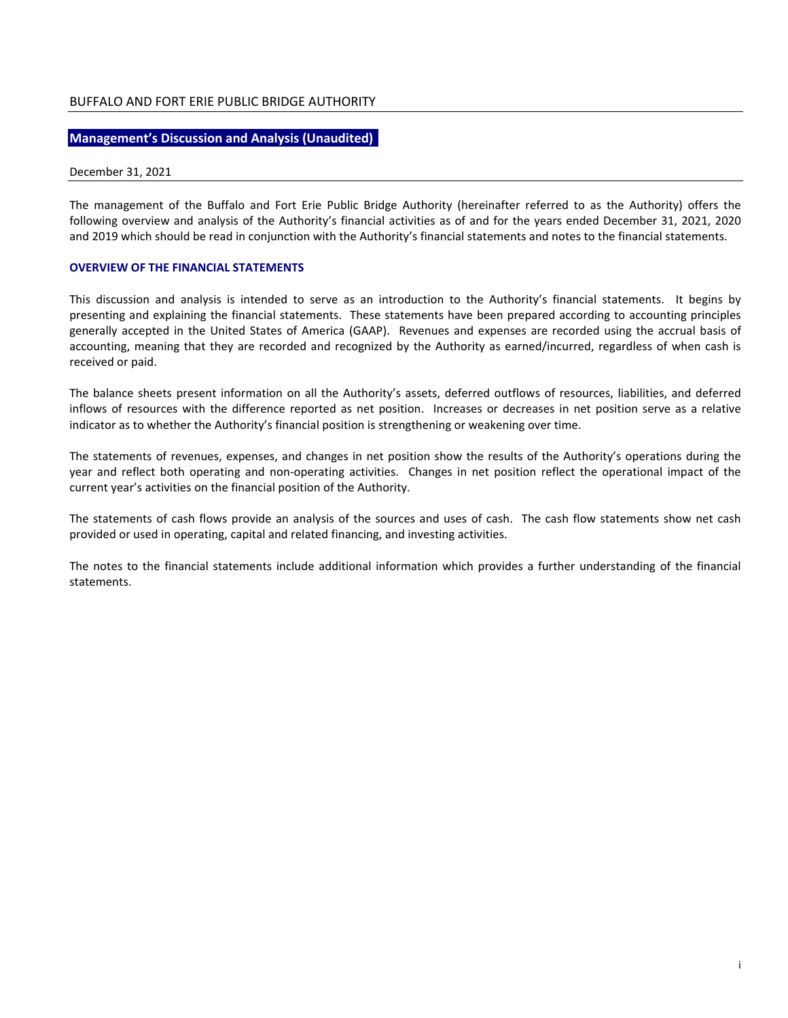# **Management's Discussion and Analysis (Unaudited)**

December 31, 2021

The management of the Buffalo and Fort Erie Public Bridge Authority (hereinafter referred to as the Authority) offers the following overview and analysis of the Authority's financial activities as of and for the years ended December 31, 2021, 2020 and 2019 which should be read in conjunction with the Authority's financial statements and notes to the financial statements.

## **OVERVIEW OF THE FINANCIAL STATEMENTS**

This discussion and analysis is intended to serve as an introduction to the Authority's financial statements. It begins by presenting and explaining the financial statements. These statements have been prepared according to accounting principles generally accepted in the United States of America (GAAP). Revenues and expenses are recorded using the accrual basis of accounting, meaning that they are recorded and recognized by the Authority as earned/incurred, regardless of when cash is received or paid.

The balance sheets present information on all the Authority's assets, deferred outflows of resources, liabilities, and deferred inflows of resources with the difference reported as net position. Increases or decreases in net position serve as a relative indicator as to whether the Authority's financial position is strengthening or weakening over time.

The statements of revenues, expenses, and changes in net position show the results of the Authority's operations during the year and reflect both operating and non-operating activities. Changes in net position reflect the operational impact of the current year's activities on the financial position of the Authority.

The statements of cash flows provide an analysis of the sources and uses of cash. The cash flow statements show net cash provided or used in operating, capital and related financing, and investing activities.

The notes to the financial statements include additional information which provides a further understanding of the financial statements.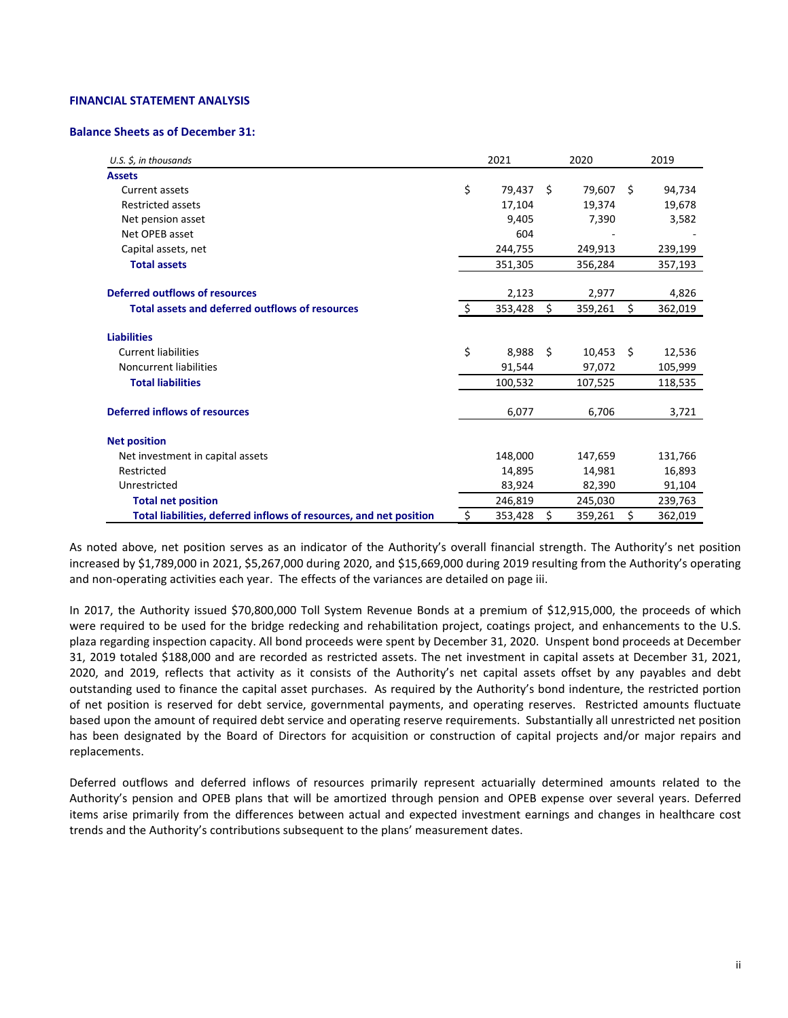### **FINANCIAL STATEMENT ANALYSIS**

### **Balance Sheets as of December 31:**

| U.S. \$, in thousands                                              |    | 2021    |    | 2020    |    | 2019    |
|--------------------------------------------------------------------|----|---------|----|---------|----|---------|
| <b>Assets</b>                                                      |    |         |    |         |    |         |
| Current assets                                                     | \$ | 79,437  | Ŝ. | 79,607  | Ŝ. | 94,734  |
| <b>Restricted assets</b>                                           |    | 17,104  |    | 19,374  |    | 19,678  |
| Net pension asset                                                  |    | 9,405   |    | 7,390   |    | 3,582   |
| Net OPEB asset                                                     |    | 604     |    |         |    |         |
| Capital assets, net                                                |    | 244,755 |    | 249,913 |    | 239,199 |
| <b>Total assets</b>                                                |    | 351,305 |    | 356,284 |    | 357,193 |
| <b>Deferred outflows of resources</b>                              |    | 2,123   |    | 2,977   |    | 4,826   |
| <b>Total assets and deferred outflows of resources</b>             | Ŝ. | 353,428 | Ś. | 359,261 | Ś. | 362,019 |
| <b>Liabilities</b>                                                 |    |         |    |         |    |         |
| <b>Current liabilities</b>                                         | \$ | 8,988   | Ŝ. | 10,453  | Ŝ. | 12,536  |
| Noncurrent liabilities                                             |    | 91,544  |    | 97,072  |    | 105,999 |
| <b>Total liabilities</b>                                           |    | 100,532 |    | 107,525 |    | 118,535 |
| <b>Deferred inflows of resources</b>                               |    | 6,077   |    | 6,706   |    | 3,721   |
| <b>Net position</b>                                                |    |         |    |         |    |         |
| Net investment in capital assets                                   |    | 148,000 |    | 147,659 |    | 131,766 |
| Restricted                                                         |    | 14,895  |    | 14,981  |    | 16,893  |
| Unrestricted                                                       |    | 83,924  |    | 82,390  |    | 91,104  |
| <b>Total net position</b>                                          |    | 246,819 |    | 245,030 |    | 239,763 |
| Total liabilities, deferred inflows of resources, and net position | \$ | 353,428 | Ś  | 359,261 | Ś  | 362,019 |

As noted above, net position serves as an indicator of the Authority's overall financial strength. The Authority's net position increased by \$1,789,000 in 2021, \$5,267,000 during 2020, and \$15,669,000 during 2019 resulting from the Authority's operating and non-operating activities each year. The effects of the variances are detailed on page iii.

In 2017, the Authority issued \$70,800,000 Toll System Revenue Bonds at a premium of \$12,915,000, the proceeds of which were required to be used for the bridge redecking and rehabilitation project, coatings project, and enhancements to the U.S. plaza regarding inspection capacity. All bond proceeds were spent by December 31, 2020. Unspent bond proceeds at December 31, 2019 totaled \$188,000 and are recorded as restricted assets. The net investment in capital assets at December 31, 2021, 2020, and 2019, reflects that activity as it consists of the Authority's net capital assets offset by any payables and debt outstanding used to finance the capital asset purchases. As required by the Authority's bond indenture, the restricted portion of net position is reserved for debt service, governmental payments, and operating reserves. Restricted amounts fluctuate based upon the amount of required debt service and operating reserve requirements. Substantially all unrestricted net position has been designated by the Board of Directors for acquisition or construction of capital projects and/or major repairs and replacements.

Deferred outflows and deferred inflows of resources primarily represent actuarially determined amounts related to the Authority's pension and OPEB plans that will be amortized through pension and OPEB expense over several years. Deferred items arise primarily from the differences between actual and expected investment earnings and changes in healthcare cost trends and the Authority's contributions subsequent to the plans' measurement dates.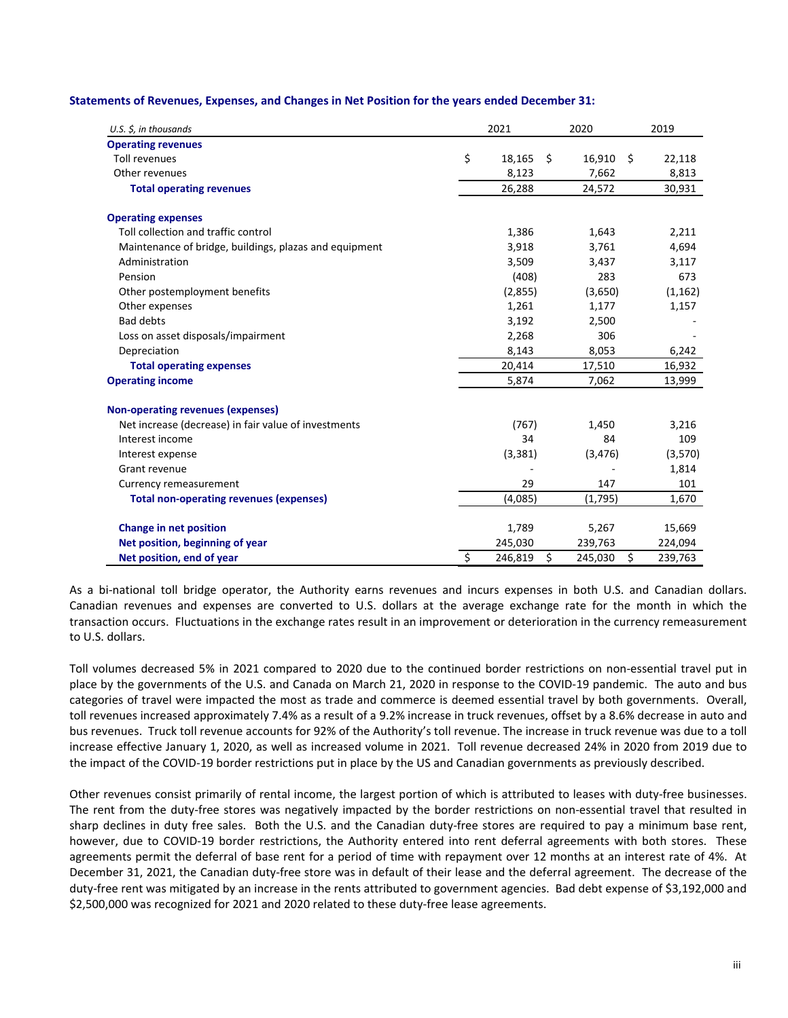| U.S. $\zeta$ , in thousands                            |    | 2021     |    | 2020     | 2019          |
|--------------------------------------------------------|----|----------|----|----------|---------------|
| <b>Operating revenues</b>                              |    |          |    |          |               |
| <b>Toll revenues</b>                                   | \$ | 18,165   | \$ | 16,910   | \$<br>22,118  |
| Other revenues                                         |    | 8,123    |    | 7,662    | 8,813         |
| <b>Total operating revenues</b>                        |    | 26,288   |    | 24,572   | 30,931        |
| <b>Operating expenses</b>                              |    |          |    |          |               |
| Toll collection and traffic control                    |    | 1,386    |    | 1,643    | 2,211         |
| Maintenance of bridge, buildings, plazas and equipment |    | 3,918    |    | 3,761    | 4,694         |
| Administration                                         |    | 3,509    |    | 3,437    | 3,117         |
| Pension                                                |    | (408)    |    | 283      | 673           |
| Other postemployment benefits                          |    | (2,855)  |    | (3,650)  | (1, 162)      |
| Other expenses                                         |    | 1,261    |    | 1,177    | 1,157         |
| <b>Bad debts</b>                                       |    | 3,192    |    | 2,500    |               |
| Loss on asset disposals/impairment                     |    | 2,268    |    | 306      |               |
| Depreciation                                           |    | 8,143    |    | 8,053    | 6,242         |
| <b>Total operating expenses</b>                        |    | 20,414   |    | 17,510   | 16,932        |
| <b>Operating income</b>                                |    | 5,874    |    | 7,062    | 13,999        |
| Non-operating revenues (expenses)                      |    |          |    |          |               |
| Net increase (decrease) in fair value of investments   |    | (767)    |    | 1,450    | 3,216         |
| Interest income                                        |    | 34       |    | 84       | 109           |
| Interest expense                                       |    | (3, 381) |    | (3, 476) | (3,570)       |
| Grant revenue                                          |    |          |    |          | 1,814         |
| Currency remeasurement                                 |    | 29       |    | 147      | 101           |
| <b>Total non-operating revenues (expenses)</b>         |    | (4,085)  |    | (1,795)  | 1,670         |
| <b>Change in net position</b>                          |    | 1,789    |    | 5,267    | 15,669        |
| Net position, beginning of year                        |    | 245,030  |    | 239,763  | 224,094       |
| Net position, end of year                              | Ś. | 246,819  | Ś. | 245,030  | \$<br>239,763 |

### **Statements of Revenues, Expenses, and Changes in Net Position for the years ended December 31:**

As a bi-national toll bridge operator, the Authority earns revenues and incurs expenses in both U.S. and Canadian dollars. Canadian revenues and expenses are converted to U.S. dollars at the average exchange rate for the month in which the transaction occurs. Fluctuations in the exchange rates result in an improvement or deterioration in the currency remeasurement to U.S. dollars.

Toll volumes decreased 5% in 2021 compared to 2020 due to the continued border restrictions on non-essential travel put in place by the governments of the U.S. and Canada on March 21, 2020 in response to the COVID-19 pandemic. The auto and bus categories of travel were impacted the most as trade and commerce is deemed essential travel by both governments. Overall, toll revenues increased approximately 7.4% as a result of a 9.2% increase in truck revenues, offset by a 8.6% decrease in auto and bus revenues. Truck toll revenue accounts for 92% of the Authority's toll revenue. The increase in truck revenue was due to a toll increase effective January 1, 2020, as well as increased volume in 2021. Toll revenue decreased 24% in 2020 from 2019 due to the impact of the COVID-19 border restrictions put in place by the US and Canadian governments as previously described.

Other revenues consist primarily of rental income, the largest portion of which is attributed to leases with duty-free businesses. The rent from the duty-free stores was negatively impacted by the border restrictions on non-essential travel that resulted in sharp declines in duty free sales. Both the U.S. and the Canadian duty-free stores are required to pay a minimum base rent, however, due to COVID-19 border restrictions, the Authority entered into rent deferral agreements with both stores. These agreements permit the deferral of base rent for a period of time with repayment over 12 months at an interest rate of 4%. At December 31, 2021, the Canadian duty-free store was in default of their lease and the deferral agreement. The decrease of the duty-free rent was mitigated by an increase in the rents attributed to government agencies. Bad debt expense of \$3,192,000 and \$2,500,000 was recognized for 2021 and 2020 related to these duty-free lease agreements.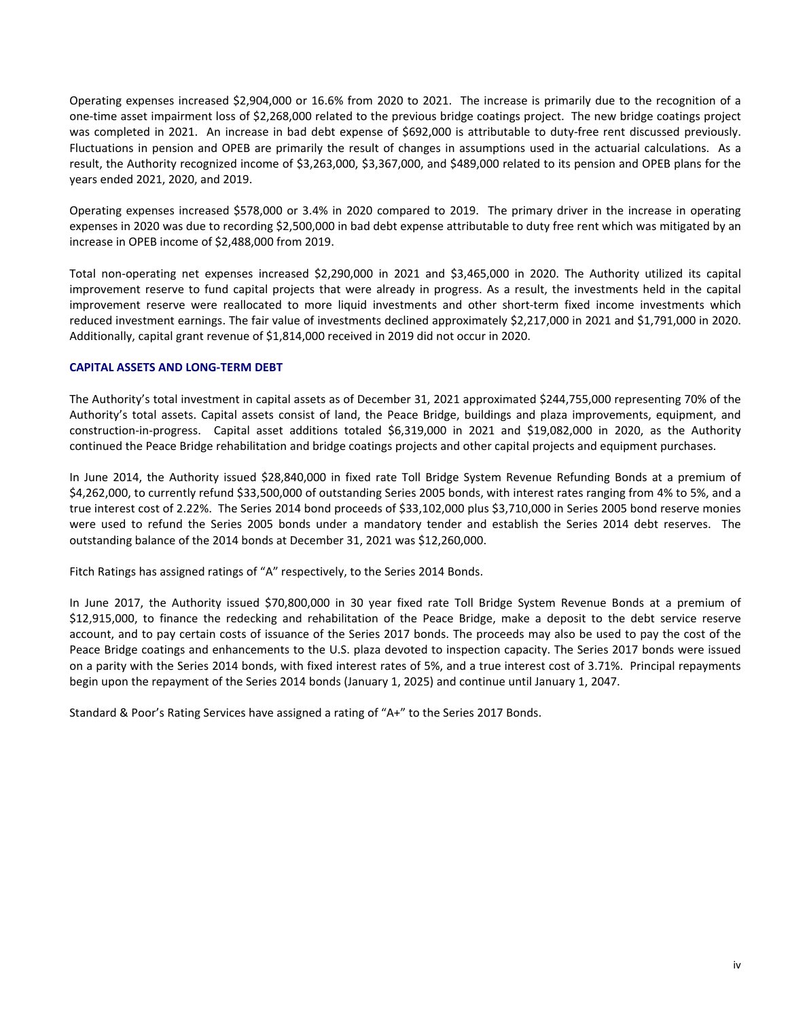Operating expenses increased \$2,904,000 or 16.6% from 2020 to 2021. The increase is primarily due to the recognition of a one-time asset impairment loss of \$2,268,000 related to the previous bridge coatings project. The new bridge coatings project was completed in 2021. An increase in bad debt expense of \$692,000 is attributable to duty-free rent discussed previously. Fluctuations in pension and OPEB are primarily the result of changes in assumptions used in the actuarial calculations. As a result, the Authority recognized income of \$3,263,000, \$3,367,000, and \$489,000 related to its pension and OPEB plans for the years ended 2021, 2020, and 2019.

Operating expenses increased \$578,000 or 3.4% in 2020 compared to 2019. The primary driver in the increase in operating expenses in 2020 was due to recording \$2,500,000 in bad debt expense attributable to duty free rent which was mitigated by an increase in OPEB income of \$2,488,000 from 2019.

Total non-operating net expenses increased \$2,290,000 in 2021 and \$3,465,000 in 2020. The Authority utilized its capital improvement reserve to fund capital projects that were already in progress. As a result, the investments held in the capital improvement reserve were reallocated to more liquid investments and other short-term fixed income investments which reduced investment earnings. The fair value of investments declined approximately \$2,217,000 in 2021 and \$1,791,000 in 2020. Additionally, capital grant revenue of \$1,814,000 received in 2019 did not occur in 2020.

# **CAPITAL ASSETS AND LONG-TERM DEBT**

The Authority's total investment in capital assets as of December 31, 2021 approximated \$244,755,000 representing 70% of the Authority's total assets. Capital assets consist of land, the Peace Bridge, buildings and plaza improvements, equipment, and construction-in-progress. Capital asset additions totaled \$6,319,000 in 2021 and \$19,082,000 in 2020, as the Authority continued the Peace Bridge rehabilitation and bridge coatings projects and other capital projects and equipment purchases.

In June 2014, the Authority issued \$28,840,000 in fixed rate Toll Bridge System Revenue Refunding Bonds at a premium of \$4,262,000, to currently refund \$33,500,000 of outstanding Series 2005 bonds, with interest rates ranging from 4% to 5%, and a true interest cost of 2.22%. The Series 2014 bond proceeds of \$33,102,000 plus \$3,710,000 in Series 2005 bond reserve monies were used to refund the Series 2005 bonds under a mandatory tender and establish the Series 2014 debt reserves. The outstanding balance of the 2014 bonds at December 31, 2021 was \$12,260,000.

Fitch Ratings has assigned ratings of "A" respectively, to the Series 2014 Bonds.

In June 2017, the Authority issued \$70,800,000 in 30 year fixed rate Toll Bridge System Revenue Bonds at a premium of \$12,915,000, to finance the redecking and rehabilitation of the Peace Bridge, make a deposit to the debt service reserve account, and to pay certain costs of issuance of the Series 2017 bonds. The proceeds may also be used to pay the cost of the Peace Bridge coatings and enhancements to the U.S. plaza devoted to inspection capacity. The Series 2017 bonds were issued on a parity with the Series 2014 bonds, with fixed interest rates of 5%, and a true interest cost of 3.71%. Principal repayments begin upon the repayment of the Series 2014 bonds (January 1, 2025) and continue until January 1, 2047.

Standard & Poor's Rating Services have assigned a rating of "A+" to the Series 2017 Bonds.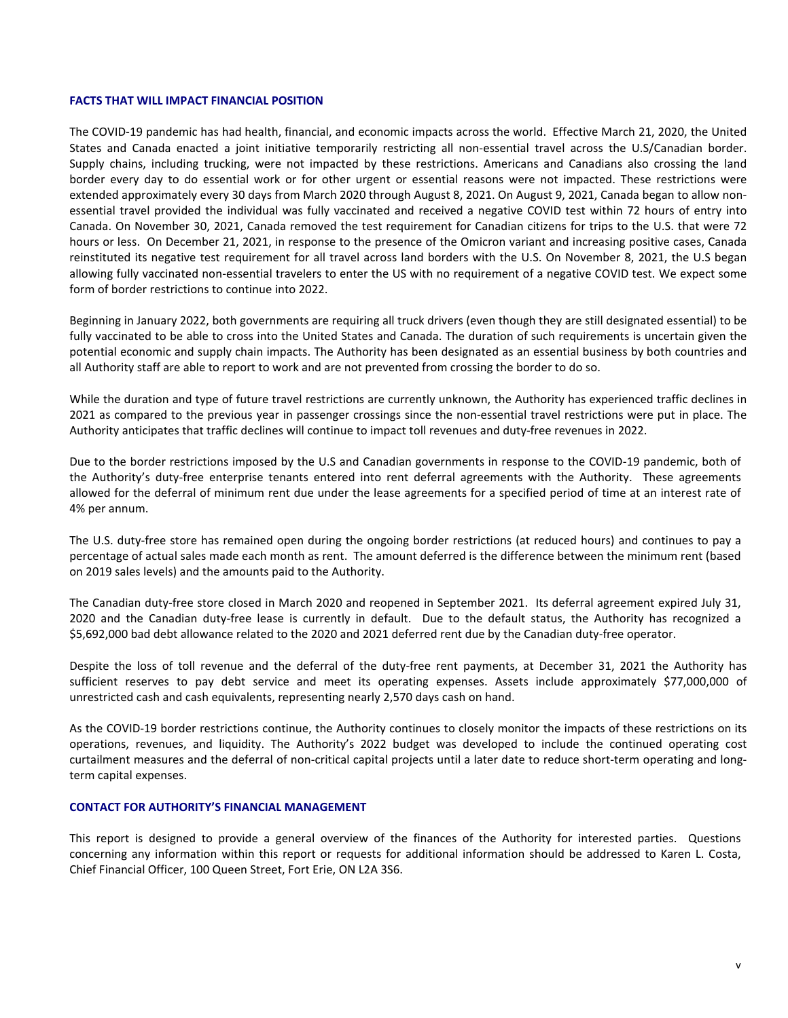### **FACTS THAT WILL IMPACT FINANCIAL POSITION**

The COVID-19 pandemic has had health, financial, and economic impacts across the world. Effective March 21, 2020, the United States and Canada enacted a joint initiative temporarily restricting all non-essential travel across the U.S/Canadian border. Supply chains, including trucking, were not impacted by these restrictions. Americans and Canadians also crossing the land border every day to do essential work or for other urgent or essential reasons were not impacted. These restrictions were extended approximately every 30 days from March 2020 through August 8, 2021. On August 9, 2021, Canada began to allow nonessential travel provided the individual was fully vaccinated and received a negative COVID test within 72 hours of entry into Canada. On November 30, 2021, Canada removed the test requirement for Canadian citizens for trips to the U.S. that were 72 hours or less. On December 21, 2021, in response to the presence of the Omicron variant and increasing positive cases, Canada reinstituted its negative test requirement for all travel across land borders with the U.S. On November 8, 2021, the U.S began allowing fully vaccinated non-essential travelers to enter the US with no requirement of a negative COVID test. We expect some form of border restrictions to continue into 2022.

Beginning in January 2022, both governments are requiring all truck drivers (even though they are still designated essential) to be fully vaccinated to be able to cross into the United States and Canada. The duration of such requirements is uncertain given the potential economic and supply chain impacts. The Authority has been designated as an essential business by both countries and all Authority staff are able to report to work and are not prevented from crossing the border to do so.

While the duration and type of future travel restrictions are currently unknown, the Authority has experienced traffic declines in 2021 as compared to the previous year in passenger crossings since the non-essential travel restrictions were put in place. The Authority anticipates that traffic declines will continue to impact toll revenues and duty-free revenues in 2022.

Due to the border restrictions imposed by the U.S and Canadian governments in response to the COVID-19 pandemic, both of the Authority's duty-free enterprise tenants entered into rent deferral agreements with the Authority. These agreements allowed for the deferral of minimum rent due under the lease agreements for a specified period of time at an interest rate of 4% per annum.

The U.S. duty-free store has remained open during the ongoing border restrictions (at reduced hours) and continues to pay a percentage of actual sales made each month as rent. The amount deferred is the difference between the minimum rent (based on 2019 sales levels) and the amounts paid to the Authority.

The Canadian duty-free store closed in March 2020 and reopened in September 2021. Its deferral agreement expired July 31, 2020 and the Canadian duty-free lease is currently in default. Due to the default status, the Authority has recognized a \$5,692,000 bad debt allowance related to the 2020 and 2021 deferred rent due by the Canadian duty-free operator.

Despite the loss of toll revenue and the deferral of the duty-free rent payments, at December 31, 2021 the Authority has sufficient reserves to pay debt service and meet its operating expenses. Assets include approximately \$77,000,000 of unrestricted cash and cash equivalents, representing nearly 2,570 days cash on hand.

As the COVID-19 border restrictions continue, the Authority continues to closely monitor the impacts of these restrictions on its operations, revenues, and liquidity. The Authority's 2022 budget was developed to include the continued operating cost curtailment measures and the deferral of non-critical capital projects until a later date to reduce short-term operating and longterm capital expenses.

## **CONTACT FOR AUTHORITY'S FINANCIAL MANAGEMENT**

This report is designed to provide a general overview of the finances of the Authority for interested parties. Questions concerning any information within this report or requests for additional information should be addressed to Karen L. Costa, Chief Financial Officer, 100 Queen Street, Fort Erie, ON L2A 3S6.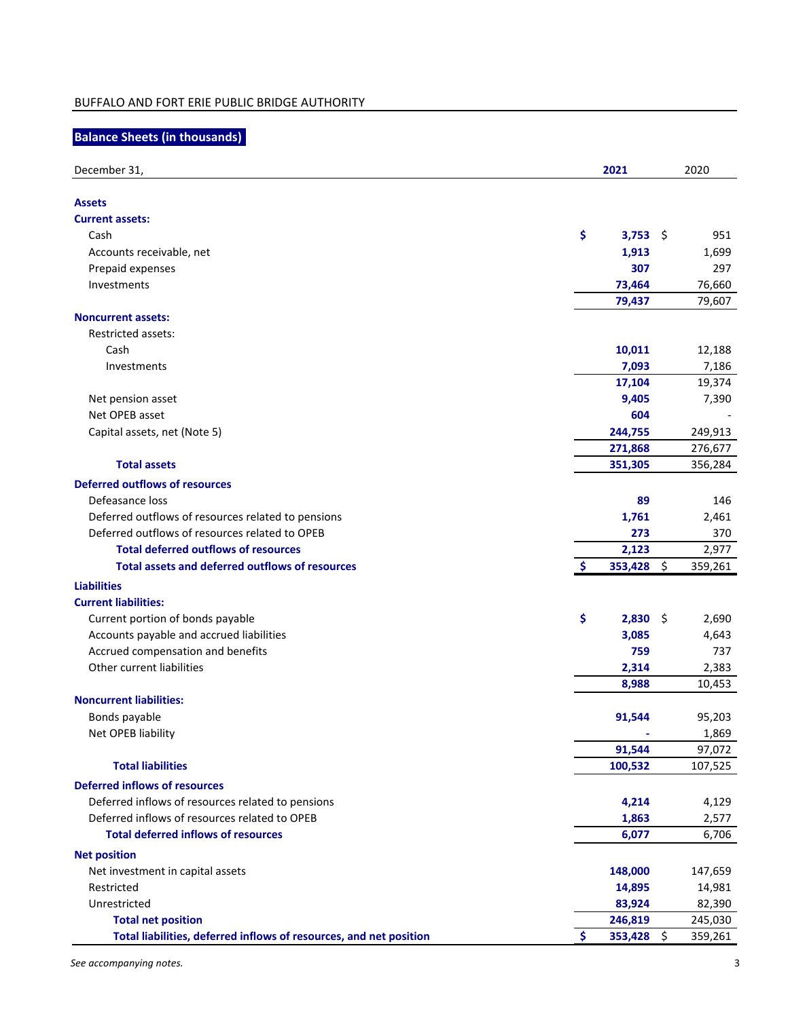# **Balance Sheets (in thousands)**

| December 31,                                                       |    | 2021       | 2020    |
|--------------------------------------------------------------------|----|------------|---------|
|                                                                    |    |            |         |
| <b>Assets</b>                                                      |    |            |         |
| <b>Current assets:</b>                                             |    |            |         |
| Cash                                                               | \$ | 3,753 \$   | 951     |
| Accounts receivable, net                                           |    | 1,913      | 1,699   |
| Prepaid expenses                                                   |    | 307        | 297     |
| Investments                                                        |    | 73,464     | 76,660  |
|                                                                    |    | 79,437     | 79,607  |
| <b>Noncurrent assets:</b>                                          |    |            |         |
| <b>Restricted assets:</b>                                          |    |            |         |
| Cash                                                               |    | 10,011     | 12,188  |
| Investments                                                        |    | 7,093      | 7,186   |
|                                                                    |    | 17,104     | 19,374  |
| Net pension asset                                                  |    | 9,405      | 7,390   |
| Net OPEB asset                                                     |    | 604        |         |
| Capital assets, net (Note 5)                                       |    | 244,755    | 249,913 |
|                                                                    |    | 271,868    | 276,677 |
| <b>Total assets</b>                                                |    | 351,305    | 356,284 |
| <b>Deferred outflows of resources</b>                              |    |            |         |
| Defeasance loss                                                    |    | 89         | 146     |
| Deferred outflows of resources related to pensions                 |    | 1,761      | 2,461   |
| Deferred outflows of resources related to OPEB                     |    | 273        | 370     |
| <b>Total deferred outflows of resources</b>                        |    | 2,123      | 2,977   |
| <b>Total assets and deferred outflows of resources</b>             | Ŝ. | 353,428 \$ | 359,261 |
| <b>Liabilities</b>                                                 |    |            |         |
| <b>Current liabilities:</b>                                        |    |            |         |
| Current portion of bonds payable                                   | \$ | $2,830$ \$ | 2,690   |
| Accounts payable and accrued liabilities                           |    | 3,085      | 4,643   |
| Accrued compensation and benefits                                  |    | 759        | 737     |
| Other current liabilities                                          |    | 2,314      | 2,383   |
|                                                                    |    | 8,988      | 10,453  |
| <b>Noncurrent liabilities:</b>                                     |    |            |         |
| Bonds payable                                                      |    | 91,544     | 95,203  |
| Net OPEB liability                                                 |    |            | 1,869   |
|                                                                    |    | 91,544     | 97,072  |
| <b>Total liabilities</b>                                           |    | 100,532    | 107,525 |
| <b>Deferred inflows of resources</b>                               |    |            |         |
| Deferred inflows of resources related to pensions                  |    | 4,214      | 4,129   |
| Deferred inflows of resources related to OPEB                      |    | 1,863      | 2,577   |
| <b>Total deferred inflows of resources</b>                         |    | 6,077      | 6,706   |
| <b>Net position</b>                                                |    |            |         |
| Net investment in capital assets                                   |    | 148,000    | 147,659 |
| Restricted                                                         |    | 14,895     | 14,981  |
| Unrestricted                                                       |    | 83,924     | 82,390  |
| <b>Total net position</b>                                          |    | 246,819    | 245,030 |
| Total liabilities, deferred inflows of resources, and net position | s  | 353,428 \$ | 359,261 |
|                                                                    |    |            |         |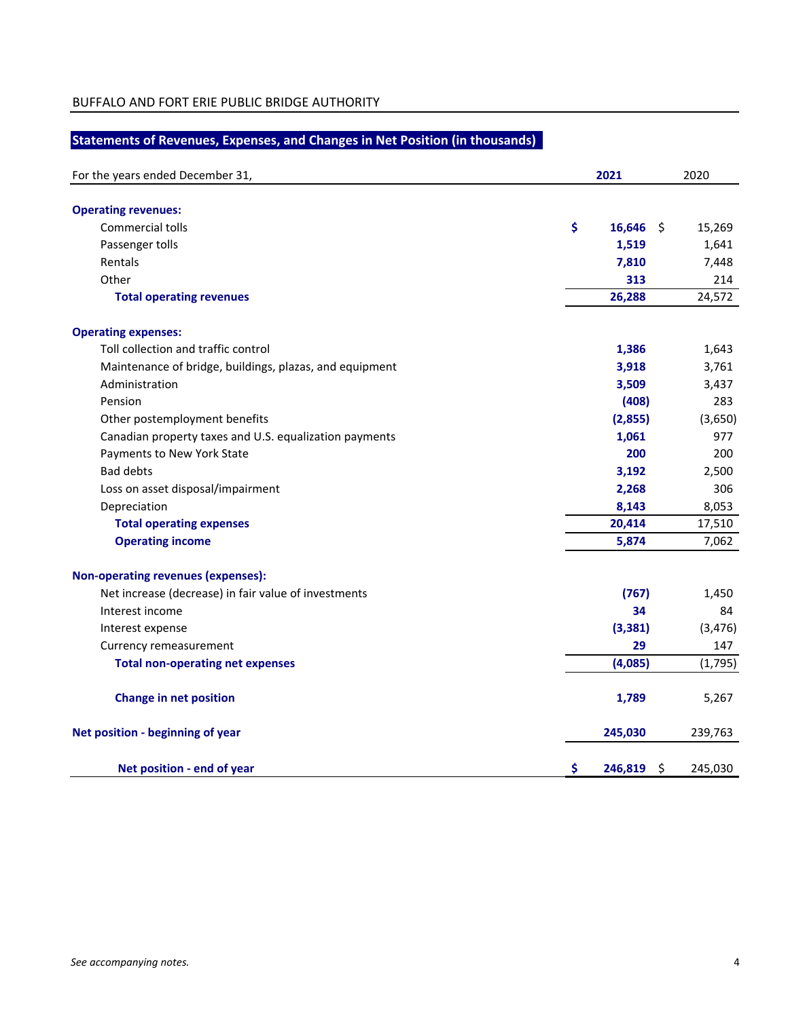# **Statements of Revenues, Expenses, and Changes in Net Position (in thousands)**

| For the years ended December 31,                        | 2021               | 2020     |
|---------------------------------------------------------|--------------------|----------|
| <b>Operating revenues:</b>                              |                    |          |
| Commercial tolls                                        | \$<br>$16,646$ \$  | 15,269   |
| Passenger tolls                                         | 1,519              | 1,641    |
| Rentals                                                 | 7,810              | 7,448    |
| Other                                                   | 313                | 214      |
| <b>Total operating revenues</b>                         | 26,288             | 24,572   |
| <b>Operating expenses:</b>                              |                    |          |
| Toll collection and traffic control                     | 1,386              | 1,643    |
| Maintenance of bridge, buildings, plazas, and equipment | 3,918              | 3,761    |
| Administration                                          | 3,509              | 3,437    |
| Pension                                                 | (408)              | 283      |
| Other postemployment benefits                           | (2,855)            | (3,650)  |
| Canadian property taxes and U.S. equalization payments  | 1,061              | 977      |
| Payments to New York State                              | 200                | 200      |
| <b>Bad debts</b>                                        | 3,192              | 2,500    |
| Loss on asset disposal/impairment                       | 2,268              | 306      |
| Depreciation                                            | 8,143              | 8,053    |
| <b>Total operating expenses</b>                         | 20,414             | 17,510   |
| <b>Operating income</b>                                 | 5,874              | 7,062    |
| <b>Non-operating revenues (expenses):</b>               |                    |          |
| Net increase (decrease) in fair value of investments    | (767)              | 1,450    |
| Interest income                                         | 34                 | 84       |
| Interest expense                                        | (3, 381)           | (3, 476) |
| Currency remeasurement                                  | 29                 | 147      |
| <b>Total non-operating net expenses</b>                 | (4,085)            | (1,795)  |
| <b>Change in net position</b>                           | 1,789              | 5,267    |
| Net position - beginning of year                        | 245,030            | 239,763  |
| Net position - end of year                              | \$<br>$246,819$ \$ | 245,030  |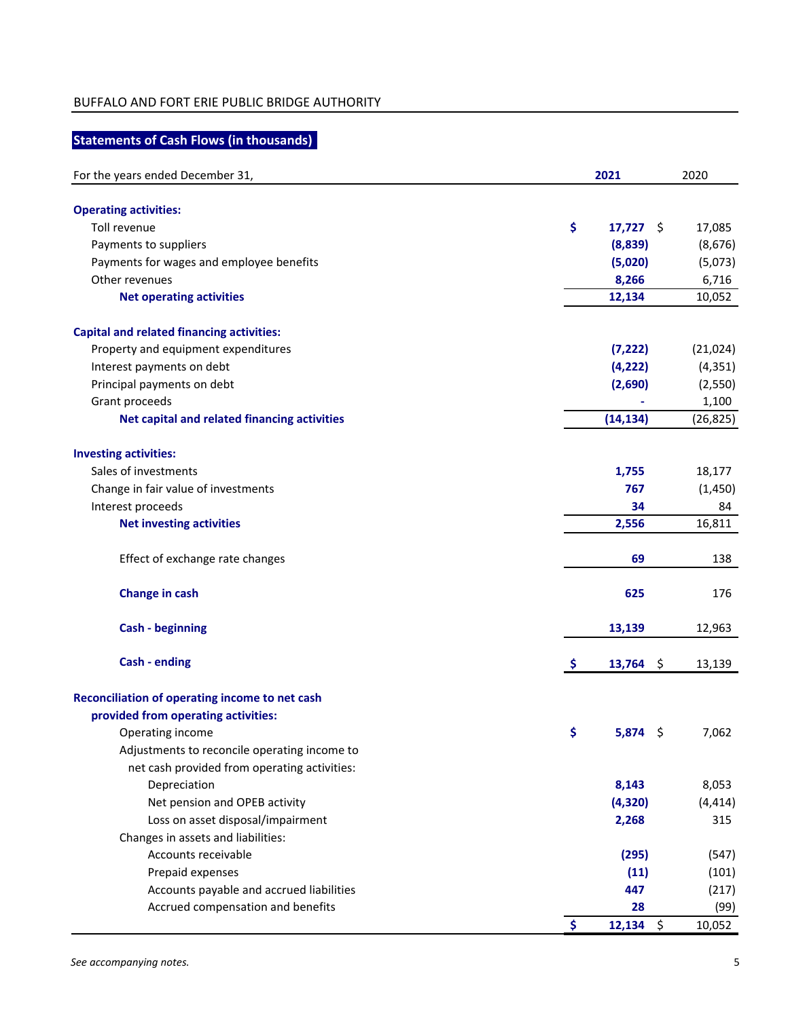# **Statements of Cash Flows (in thousands)**

| For the years ended December 31,                 | 2021                 |             | 2020      |
|--------------------------------------------------|----------------------|-------------|-----------|
| <b>Operating activities:</b>                     |                      |             |           |
| Toll revenue                                     | \$                   | $17,727$ \$ | 17,085    |
| Payments to suppliers                            |                      | (8,839)     | (8,676)   |
| Payments for wages and employee benefits         |                      | (5,020)     | (5,073)   |
| Other revenues                                   |                      | 8,266       | 6,716     |
| <b>Net operating activities</b>                  |                      | 12,134      | 10,052    |
| <b>Capital and related financing activities:</b> |                      |             |           |
| Property and equipment expenditures              |                      | (7, 222)    | (21, 024) |
| Interest payments on debt                        |                      | (4, 222)    | (4, 351)  |
| Principal payments on debt                       |                      | (2,690)     | (2,550)   |
| Grant proceeds                                   |                      |             | 1,100     |
| Net capital and related financing activities     |                      | (14, 134)   | (26, 825) |
| <b>Investing activities:</b>                     |                      |             |           |
| Sales of investments                             |                      | 1,755       | 18,177    |
| Change in fair value of investments              |                      | 767         | (1,450)   |
| Interest proceeds                                |                      | 34          | 84        |
| <b>Net investing activities</b>                  |                      | 2,556       | 16,811    |
| Effect of exchange rate changes                  |                      | 69          | 138       |
| <b>Change in cash</b>                            |                      | 625         | 176       |
| <b>Cash - beginning</b>                          |                      | 13,139      | 12,963    |
| <b>Cash - ending</b>                             | \$.                  | $13,764$ \$ | 13,139    |
| Reconciliation of operating income to net cash   |                      |             |           |
| provided from operating activities:              |                      |             |           |
| Operating income                                 | \$                   | $5,874$ \$  | 7,062     |
| Adjustments to reconcile operating income to     |                      |             |           |
| net cash provided from operating activities:     |                      |             |           |
| Depreciation                                     |                      | 8,143       | 8,053     |
| Net pension and OPEB activity                    |                      | (4, 320)    | (4, 414)  |
| Loss on asset disposal/impairment                |                      | 2,268       | 315       |
| Changes in assets and liabilities:               |                      |             |           |
| Accounts receivable                              |                      | (295)       | (547)     |
| Prepaid expenses                                 |                      | (11)        | (101)     |
| Accounts payable and accrued liabilities         |                      | 447         | (217)     |
| Accrued compensation and benefits                |                      | 28          | (99)      |
|                                                  | $\boldsymbol{\zeta}$ | 12,134 \$   | 10,052    |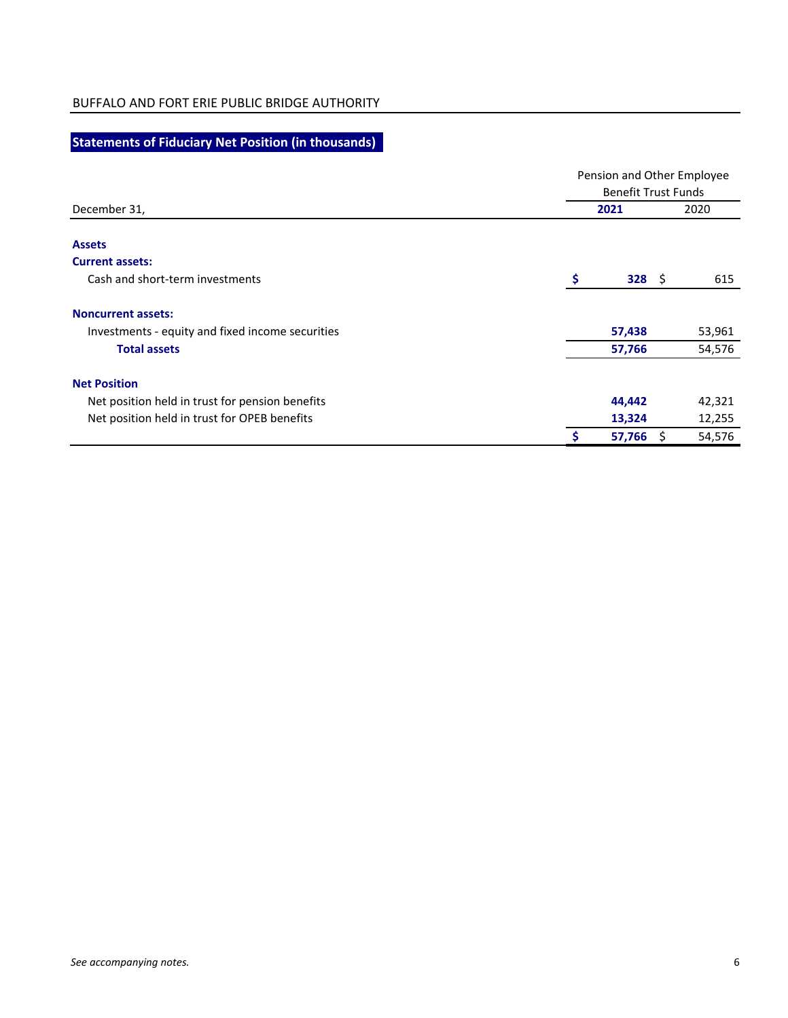# **Statements of Fiduciary Net Position (in thousands)**

|                                                  | Pension and Other Employee<br><b>Benefit Trust Funds</b> |         |   |        |  |  |
|--------------------------------------------------|----------------------------------------------------------|---------|---|--------|--|--|
| December 31,                                     |                                                          | 2021    |   | 2020   |  |  |
| <b>Assets</b>                                    |                                                          |         |   |        |  |  |
| <b>Current assets:</b>                           |                                                          |         |   |        |  |  |
| Cash and short-term investments                  | \$                                                       | 328 $$$ |   | 615    |  |  |
| <b>Noncurrent assets:</b>                        |                                                          |         |   |        |  |  |
| Investments - equity and fixed income securities |                                                          | 57,438  |   | 53,961 |  |  |
| <b>Total assets</b>                              |                                                          | 57,766  |   | 54,576 |  |  |
| <b>Net Position</b>                              |                                                          |         |   |        |  |  |
| Net position held in trust for pension benefits  |                                                          | 44,442  |   | 42,321 |  |  |
| Net position held in trust for OPEB benefits     |                                                          | 13,324  |   | 12,255 |  |  |
|                                                  | \$                                                       | 57,766  | S | 54,576 |  |  |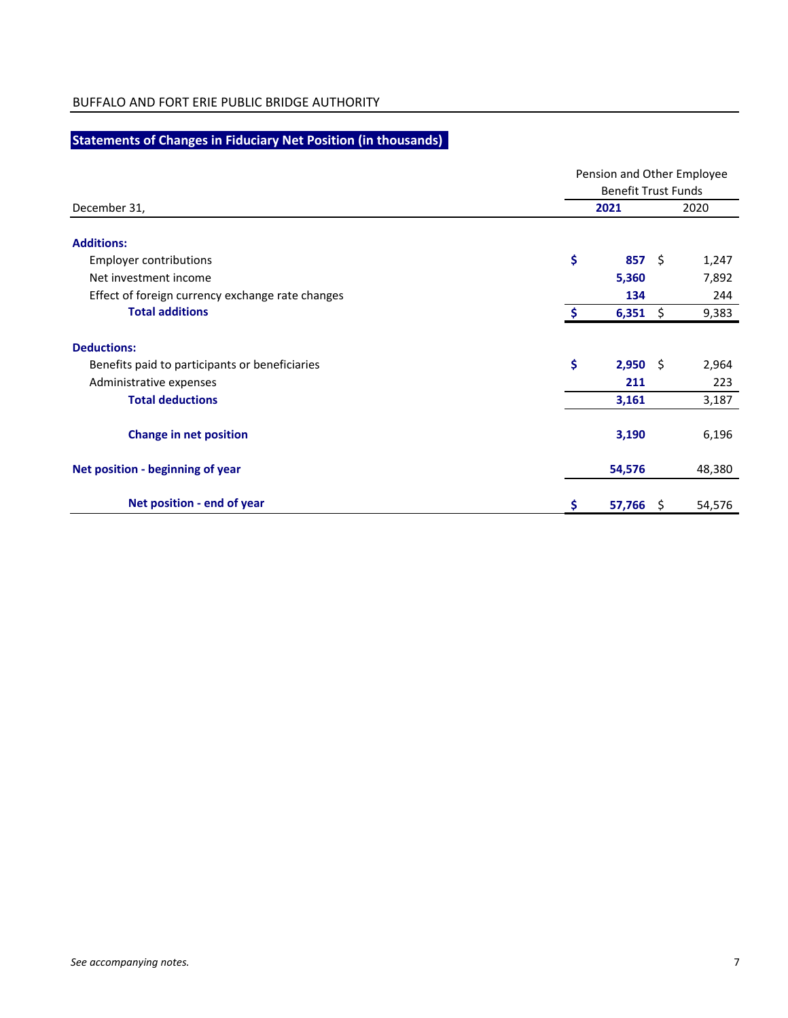# **Statements of Changes in Fiduciary Net Position (in thousands)**

|                                                  |                     | Pension and Other Employee<br><b>Benefit Trust Funds</b> |        |  |  |  |  |
|--------------------------------------------------|---------------------|----------------------------------------------------------|--------|--|--|--|--|
| December 31,                                     | 2021                |                                                          | 2020   |  |  |  |  |
| <b>Additions:</b>                                |                     |                                                          |        |  |  |  |  |
| <b>Employer contributions</b>                    | \$                  | $857 \div$                                               | 1,247  |  |  |  |  |
| Net investment income                            |                     | 5,360                                                    | 7,892  |  |  |  |  |
| Effect of foreign currency exchange rate changes |                     | 134                                                      | 244    |  |  |  |  |
| <b>Total additions</b>                           | $\ddot{\bm{\zeta}}$ | - \$<br>6,351                                            | 9,383  |  |  |  |  |
| <b>Deductions:</b>                               |                     |                                                          |        |  |  |  |  |
| Benefits paid to participants or beneficiaries   | \$                  | $2,950$ \$                                               | 2,964  |  |  |  |  |
| Administrative expenses                          |                     | 211                                                      | 223    |  |  |  |  |
| <b>Total deductions</b>                          |                     | 3,161                                                    | 3,187  |  |  |  |  |
| <b>Change in net position</b>                    |                     | 3,190                                                    | 6,196  |  |  |  |  |
| Net position - beginning of year                 |                     | 54,576                                                   | 48,380 |  |  |  |  |
| Net position - end of year                       | \$                  | $57,766$ \$                                              | 54,576 |  |  |  |  |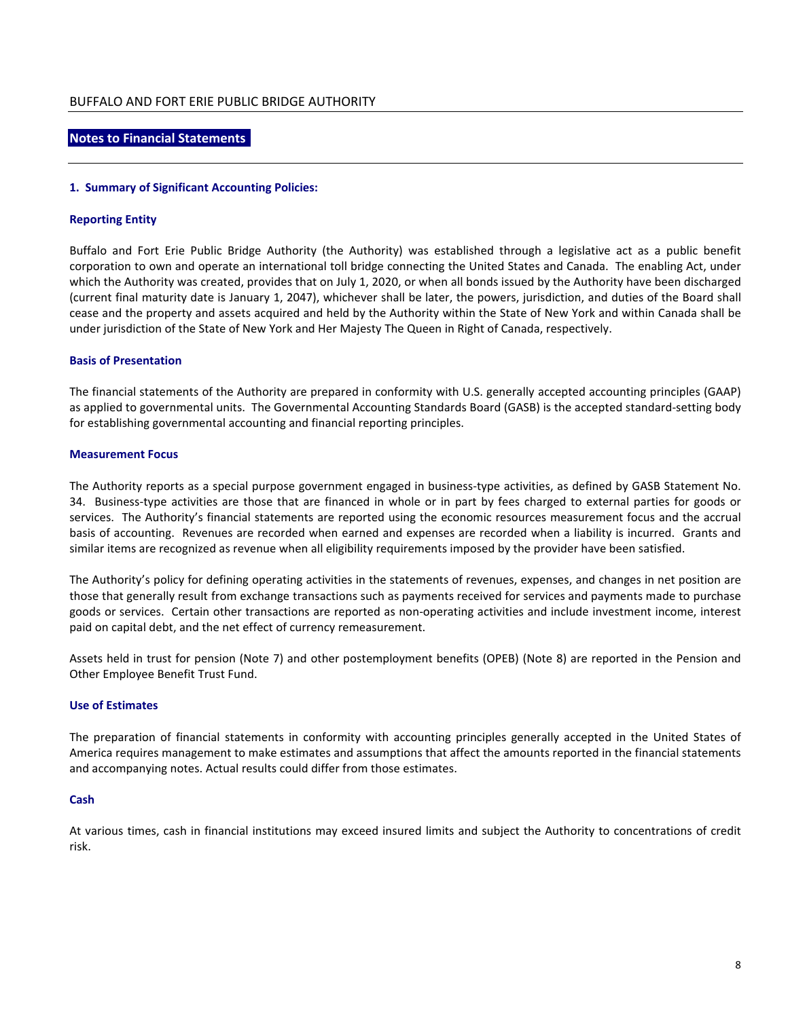## **Notes to Financial Statements**

### **1. Summary of Significant Accounting Policies:**

### **Reporting Entity**

Buffalo and Fort Erie Public Bridge Authority (the Authority) was established through a legislative act as a public benefit corporation to own and operate an international toll bridge connecting the United States and Canada. The enabling Act, under which the Authority was created, provides that on July 1, 2020, or when all bonds issued by the Authority have been discharged (current final maturity date is January 1, 2047), whichever shall be later, the powers, jurisdiction, and duties of the Board shall cease and the property and assets acquired and held by the Authority within the State of New York and within Canada shall be under jurisdiction of the State of New York and Her Majesty The Queen in Right of Canada, respectively.

### **Basis of Presentation**

The financial statements of the Authority are prepared in conformity with U.S. generally accepted accounting principles (GAAP) as applied to governmental units. The Governmental Accounting Standards Board (GASB) is the accepted standard-setting body for establishing governmental accounting and financial reporting principles.

### **Measurement Focus**

The Authority reports as a special purpose government engaged in business-type activities, as defined by GASB Statement No. 34. Business-type activities are those that are financed in whole or in part by fees charged to external parties for goods or services. The Authority's financial statements are reported using the economic resources measurement focus and the accrual basis of accounting. Revenues are recorded when earned and expenses are recorded when a liability is incurred. Grants and similar items are recognized as revenue when all eligibility requirements imposed by the provider have been satisfied.

The Authority's policy for defining operating activities in the statements of revenues, expenses, and changes in net position are those that generally result from exchange transactions such as payments received for services and payments made to purchase goods or services. Certain other transactions are reported as non-operating activities and include investment income, interest paid on capital debt, and the net effect of currency remeasurement.

Assets held in trust for pension (Note 7) and other postemployment benefits (OPEB) (Note 8) are reported in the Pension and Other Employee Benefit Trust Fund.

### **Use of Estimates**

The preparation of financial statements in conformity with accounting principles generally accepted in the United States of America requires management to make estimates and assumptions that affect the amounts reported in the financial statements and accompanying notes. Actual results could differ from those estimates.

### **Cash**

At various times, cash in financial institutions may exceed insured limits and subject the Authority to concentrations of credit risk.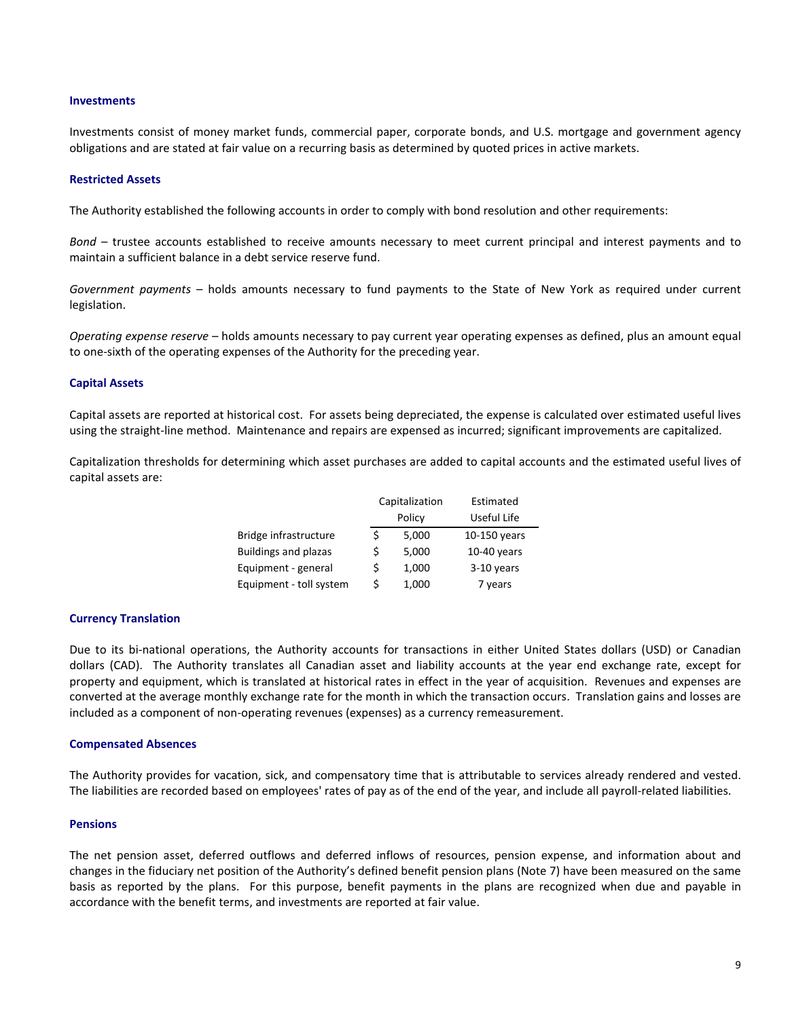### **Investments**

Investments consist of money market funds, commercial paper, corporate bonds, and U.S. mortgage and government agency obligations and are stated at fair value on a recurring basis as determined by quoted prices in active markets.

### **Restricted Assets**

The Authority established the following accounts in order to comply with bond resolution and other requirements:

*Bond* – trustee accounts established to receive amounts necessary to meet current principal and interest payments and to maintain a sufficient balance in a debt service reserve fund.

*Government payments* – holds amounts necessary to fund payments to the State of New York as required under current legislation.

*Operating expense reserve* – holds amounts necessary to pay current year operating expenses as defined, plus an amount equal to one-sixth of the operating expenses of the Authority for the preceding year.

### **Capital Assets**

Capital assets are reported at historical cost. For assets being depreciated, the expense is calculated over estimated useful lives using the straight-line method. Maintenance and repairs are expensed as incurred; significant improvements are capitalized.

Capitalization thresholds for determining which asset purchases are added to capital accounts and the estimated useful lives of capital assets are:

|                             |        | Capitalization | Estimated     |  |
|-----------------------------|--------|----------------|---------------|--|
|                             | Policy |                | Useful Life   |  |
| Bridge infrastructure       | \$     | 5,000          | 10-150 years  |  |
| <b>Buildings and plazas</b> | Ś      | 5,000          | $10-40$ years |  |
| Equipment - general         | \$     | 1,000          | $3-10$ years  |  |
| Equipment - toll system     | Ś      | 1,000          | 7 years       |  |

### **Currency Translation**

Due to its bi-national operations, the Authority accounts for transactions in either United States dollars (USD) or Canadian dollars (CAD). The Authority translates all Canadian asset and liability accounts at the year end exchange rate, except for property and equipment, which is translated at historical rates in effect in the year of acquisition. Revenues and expenses are converted at the average monthly exchange rate for the month in which the transaction occurs. Translation gains and losses are included as a component of non-operating revenues (expenses) as a currency remeasurement.

### **Compensated Absences**

The Authority provides for vacation, sick, and compensatory time that is attributable to services already rendered and vested. The liabilities are recorded based on employees' rates of pay as of the end of the year, and include all payroll-related liabilities.

#### **Pensions**

The net pension asset, deferred outflows and deferred inflows of resources, pension expense, and information about and changes in the fiduciary net position of the Authority's defined benefit pension plans (Note 7) have been measured on the same basis as reported by the plans. For this purpose, benefit payments in the plans are recognized when due and payable in accordance with the benefit terms, and investments are reported at fair value.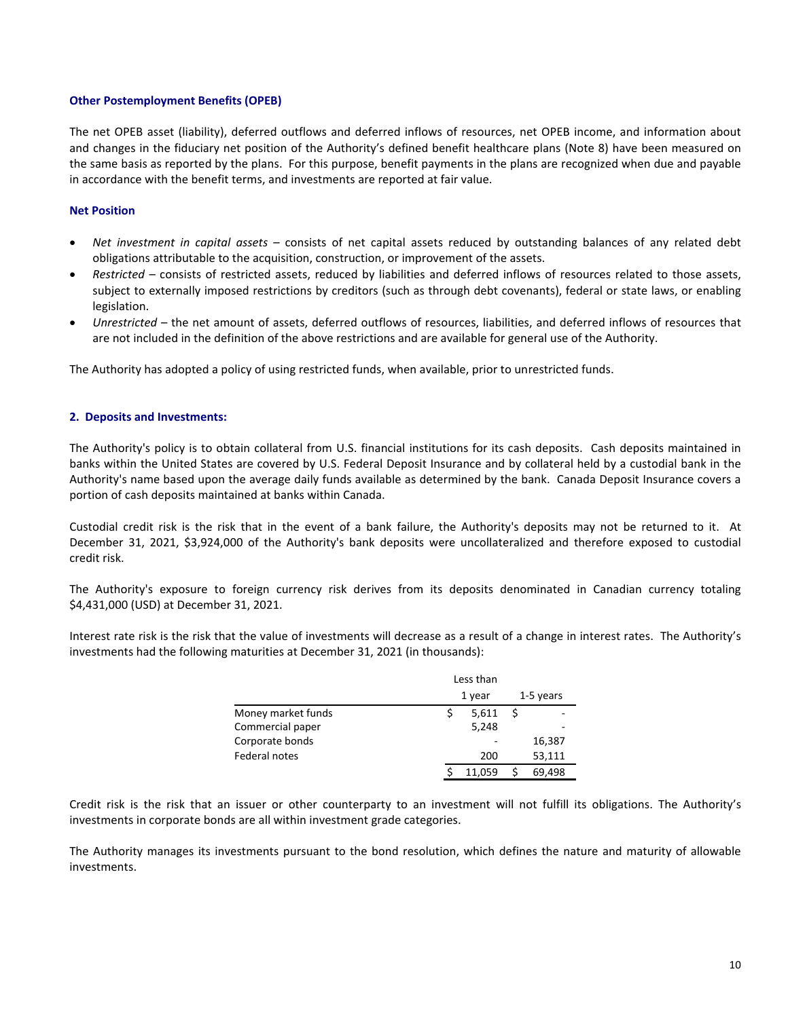### **Other Postemployment Benefits (OPEB)**

The net OPEB asset (liability), deferred outflows and deferred inflows of resources, net OPEB income, and information about and changes in the fiduciary net position of the Authority's defined benefit healthcare plans (Note 8) have been measured on the same basis as reported by the plans. For this purpose, benefit payments in the plans are recognized when due and payable in accordance with the benefit terms, and investments are reported at fair value.

# **Net Position**

- *Net investment in capital assets* consists of net capital assets reduced by outstanding balances of any related debt obligations attributable to the acquisition, construction, or improvement of the assets.
- *Restricted* consists of restricted assets, reduced by liabilities and deferred inflows of resources related to those assets, subject to externally imposed restrictions by creditors (such as through debt covenants), federal or state laws, or enabling legislation.
- *Unrestricted* the net amount of assets, deferred outflows of resources, liabilities, and deferred inflows of resources that are not included in the definition of the above restrictions and are available for general use of the Authority.

The Authority has adopted a policy of using restricted funds, when available, prior to unrestricted funds.

# **2. Deposits and Investments:**

The Authority's policy is to obtain collateral from U.S. financial institutions for its cash deposits. Cash deposits maintained in banks within the United States are covered by U.S. Federal Deposit Insurance and by collateral held by a custodial bank in the Authority's name based upon the average daily funds available as determined by the bank. Canada Deposit Insurance covers a portion of cash deposits maintained at banks within Canada.

Custodial credit risk is the risk that in the event of a bank failure, the Authority's deposits may not be returned to it. At December 31, 2021, \$3,924,000 of the Authority's bank deposits were uncollateralized and therefore exposed to custodial credit risk.

The Authority's exposure to foreign currency risk derives from its deposits denominated in Canadian currency totaling \$4,431,000 (USD) at December 31, 2021.

Interest rate risk is the risk that the value of investments will decrease as a result of a change in interest rates. The Authority's investments had the following maturities at December 31, 2021 (in thousands):

|                    | Less than |  |           |  |  |
|--------------------|-----------|--|-----------|--|--|
|                    | 1 year    |  | 1-5 years |  |  |
| Money market funds | 5,611     |  |           |  |  |
| Commercial paper   | 5,248     |  |           |  |  |
| Corporate bonds    |           |  | 16,387    |  |  |
| Federal notes      | 200       |  | 53,111    |  |  |
|                    | 11.059    |  | 69,498    |  |  |

Credit risk is the risk that an issuer or other counterparty to an investment will not fulfill its obligations. The Authority's investments in corporate bonds are all within investment grade categories.

The Authority manages its investments pursuant to the bond resolution, which defines the nature and maturity of allowable investments.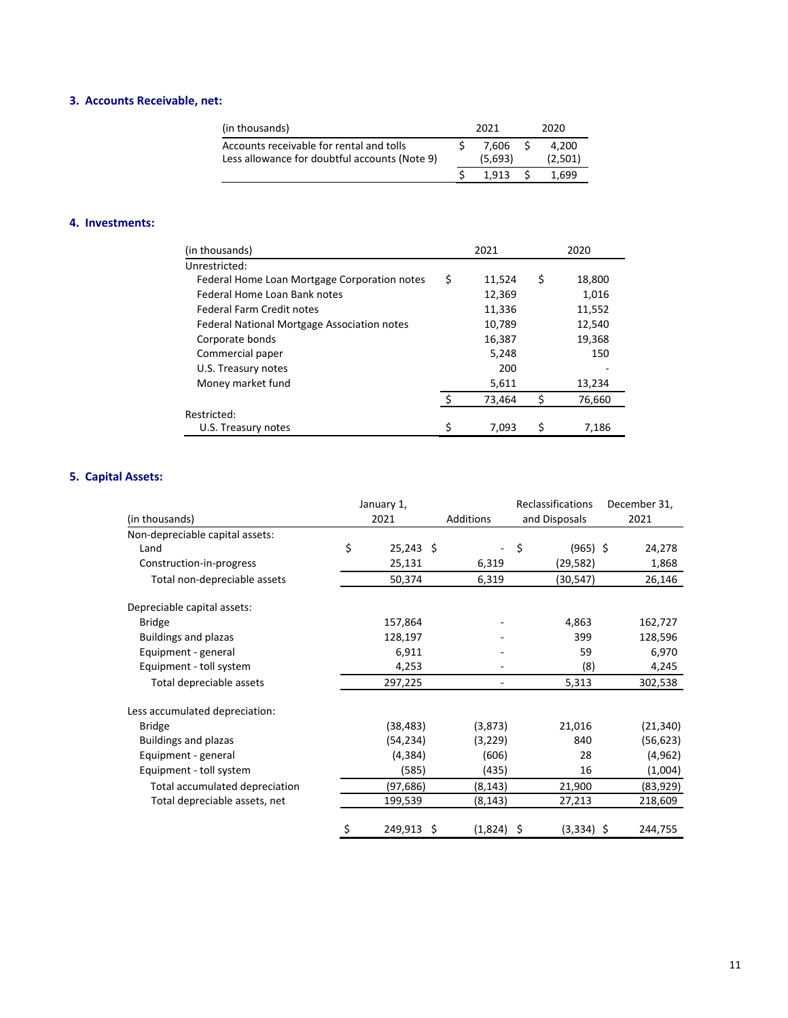# **3. Accounts Receivable, net:**

| (in thousands)                                | 2021    | 2020    |
|-----------------------------------------------|---------|---------|
| Accounts receivable for rental and tolls      | 7.606   | 4.200   |
| Less allowance for doubtful accounts (Note 9) | (5.693) | (2,501) |
|                                               | 1.913   | 1.699   |
|                                               |         |         |

# **4. Investments:**

| (in thousands)                               | 2021 |        | 2020 |        |
|----------------------------------------------|------|--------|------|--------|
| Unrestricted:                                |      |        |      |        |
| Federal Home Loan Mortgage Corporation notes | \$   | 11,524 | \$   | 18,800 |
| Federal Home Loan Bank notes                 |      | 12,369 |      | 1,016  |
| <b>Federal Farm Credit notes</b>             |      | 11,336 |      | 11,552 |
| Federal National Mortgage Association notes  |      | 10,789 |      | 12,540 |
| Corporate bonds                              |      | 16,387 |      | 19,368 |
| Commercial paper                             |      | 5,248  |      | 150    |
| U.S. Treasury notes                          |      | 200    |      |        |
| Money market fund                            |      | 5,611  |      | 13,234 |
|                                              | ¢,   | 73,464 | Ś    | 76,660 |
| Restricted:                                  |      |        |      |        |
| U.S. Treasury notes                          | \$   | 7.093  | \$   | 7.186  |

# **5. Capital Assets:**

|                                 | January 1, |             |    |                          | Reclassifications |              | December 31, |           |
|---------------------------------|------------|-------------|----|--------------------------|-------------------|--------------|--------------|-----------|
| (in thousands)                  |            | 2021        |    | <b>Additions</b>         | and Disposals     |              |              | 2021      |
| Non-depreciable capital assets: |            |             |    |                          |                   |              |              |           |
| Land                            | \$         | $25,243$ \$ |    | $\overline{\phantom{0}}$ | \$                | $(965)$ \$   |              | 24,278    |
| Construction-in-progress        |            | 25,131      |    | 6,319                    |                   | (29, 582)    |              | 1,868     |
| Total non-depreciable assets    |            | 50,374      |    | 6,319                    |                   | (30, 547)    |              | 26,146    |
| Depreciable capital assets:     |            |             |    |                          |                   |              |              |           |
| <b>Bridge</b>                   |            | 157,864     |    |                          |                   | 4,863        |              | 162,727   |
| <b>Buildings and plazas</b>     |            | 128,197     |    |                          |                   | 399          |              | 128,596   |
| Equipment - general             |            | 6,911       |    |                          |                   | 59           |              | 6,970     |
| Equipment - toll system         |            | 4,253       |    |                          |                   | (8)          |              | 4,245     |
| Total depreciable assets        |            | 297,225     |    | ٠                        |                   | 5,313        |              | 302,538   |
| Less accumulated depreciation:  |            |             |    |                          |                   |              |              |           |
| <b>Bridge</b>                   |            | (38, 483)   |    | (3,873)                  |                   | 21,016       |              | (21, 340) |
| <b>Buildings and plazas</b>     |            | (54,234)    |    | (3,229)                  |                   | 840          |              | (56,623)  |
| Equipment - general             |            | (4, 384)    |    | (606)                    |                   | 28           |              | (4, 962)  |
| Equipment - toll system         |            | (585)       |    | (435)                    |                   | 16           |              | (1,004)   |
| Total accumulated depreciation  |            | (97, 686)   |    | (8, 143)                 |                   | 21,900       |              | (83,929)  |
| Total depreciable assets, net   |            | 199,539     |    | (8, 143)                 |                   | 27,213       |              | 218,609   |
|                                 | \$         | 249,913     | Ŝ. | (1,824)                  | Ŝ.                | $(3,334)$ \$ |              | 244,755   |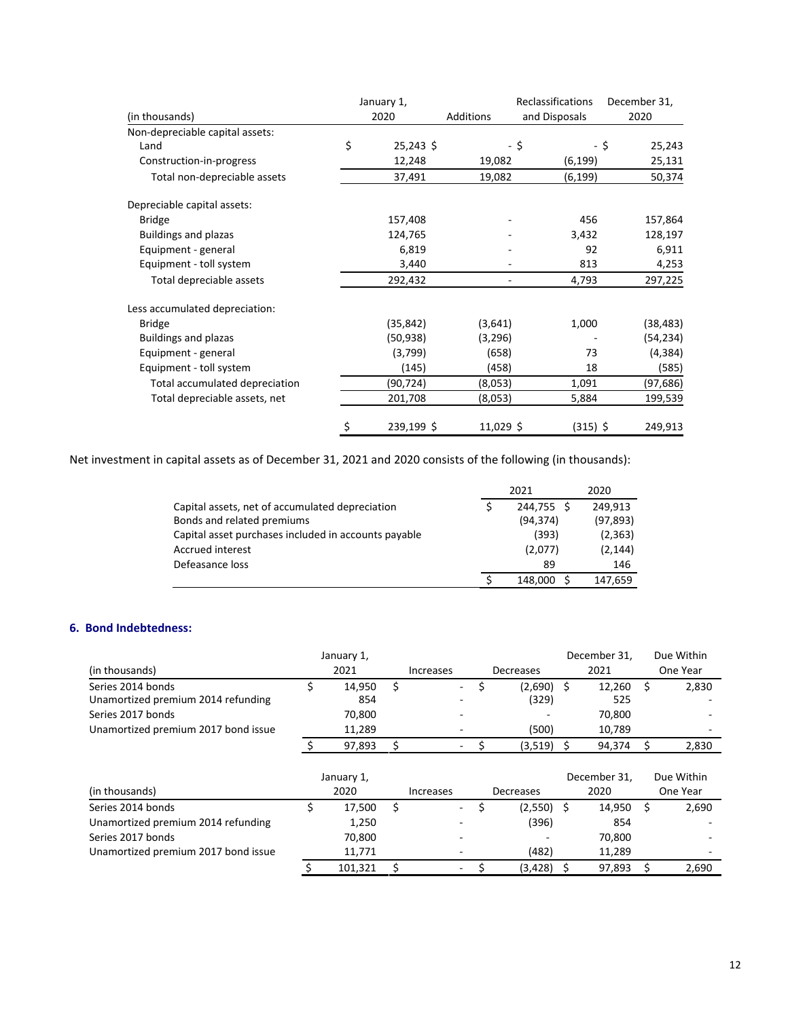|                                 | January 1,        |           | Reclassifications | December 31,   |  |
|---------------------------------|-------------------|-----------|-------------------|----------------|--|
| (in thousands)                  | 2020              | Additions | and Disposals     | 2020           |  |
| Non-depreciable capital assets: |                   |           |                   |                |  |
| Land                            | \$<br>$25,243$ \$ |           | - \$              | - \$<br>25,243 |  |
| Construction-in-progress        | 12,248            | 19,082    | (6, 199)          | 25,131         |  |
| Total non-depreciable assets    | 37,491            | 19,082    | (6, 199)          | 50,374         |  |
| Depreciable capital assets:     |                   |           |                   |                |  |
| <b>Bridge</b>                   | 157,408           |           | 456               | 157,864        |  |
| Buildings and plazas            | 124,765           |           | 3,432             | 128,197        |  |
| Equipment - general             | 6,819             |           | 92                | 6,911          |  |
| Equipment - toll system         | 3,440             |           | 813               | 4,253          |  |
| Total depreciable assets        | 292,432           |           | 4,793             | 297,225        |  |
| Less accumulated depreciation:  |                   |           |                   |                |  |
| <b>Bridge</b>                   | (35, 842)         | (3,641)   | 1,000             | (38, 483)      |  |
| Buildings and plazas            | (50, 938)         | (3,296)   |                   | (54, 234)      |  |
| Equipment - general             | (3,799)           | (658)     | 73                | (4, 384)       |  |
| Equipment - toll system         | (145)             | (458)     | 18                | (585)          |  |
| Total accumulated depreciation  | (90,724)          | (8,053)   | 1,091             | (97, 686)      |  |
| Total depreciable assets, net   | 201,708           | (8,053)   | 5,884             | 199,539        |  |
|                                 | \$<br>239,199 \$  | 11,029 \$ | $(315)$ \$        | 249,913        |  |

Net investment in capital assets as of December 31, 2021 and 2020 consists of the following (in thousands):

|                                                      | 2021       | 2020      |
|------------------------------------------------------|------------|-----------|
| Capital assets, net of accumulated depreciation      | 244.755 \$ | 249.913   |
| Bonds and related premiums                           | (94, 374)  | (97, 893) |
| Capital asset purchases included in accounts payable | (393)      | (2, 363)  |
| Accrued interest                                     | (2,077)    | (2, 144)  |
| Defeasance loss                                      | 89         | 146       |
|                                                      | 148.000    | 147,659   |

# **6. Bond Indebtedness:**

|                                     |    | January 1, |    |                  |                          |              | December 31. |   | Due Within |
|-------------------------------------|----|------------|----|------------------|--------------------------|--------------|--------------|---|------------|
| (in thousands)                      |    | 2021       |    | <b>Increases</b> |                          | Decreases    | 2021         |   | One Year   |
| Series 2014 bonds                   | \$ | 14,950     | Ŝ. |                  | Ś<br>$\sim$              | $(2,690)$ \$ | 12,260       | Ś | 2,830      |
| Unamortized premium 2014 refunding  |    | 854        |    |                  |                          | (329)        | 525          |   |            |
| Series 2017 bonds                   |    | 70,800     |    |                  | ٠                        |              | 70,800       |   |            |
| Unamortized premium 2017 bond issue |    | 11,289     |    |                  |                          | (500)        | 10,789       |   |            |
|                                     |    | 97,893     |    |                  | $\overline{\phantom{a}}$ | (3,519) \$   | 94,374       |   | 2,830      |
|                                     |    |            |    |                  |                          |              |              |   |            |
|                                     |    | January 1, |    |                  |                          |              | December 31. |   | Due Within |
| (in thousands)                      |    | 2020       |    | <b>Increases</b> |                          | Decreases    | 2020         |   | One Year   |
| Series 2014 bonds                   | Ś  | 17.500     | Ś  |                  | Ś<br>$\sim$              | $(2,550)$ \$ | 14,950       | Ś | 2,690      |
| Unamortized premium 2014 refunding  |    | 1,250      |    |                  |                          | (396)        | 854          |   |            |
| Series 2017 bonds                   |    | 70,800     |    |                  | $\overline{\phantom{a}}$ |              | 70,800       |   |            |
| Unamortized premium 2017 bond issue |    | 11,771     |    |                  |                          | (482)        | 11,289       |   |            |

 $\begin{array}{ccccccc} \xi & 101,321 & \xi & - & \xi & (3,428) & \xi & 97,893 & \xi & 2,690 \end{array}$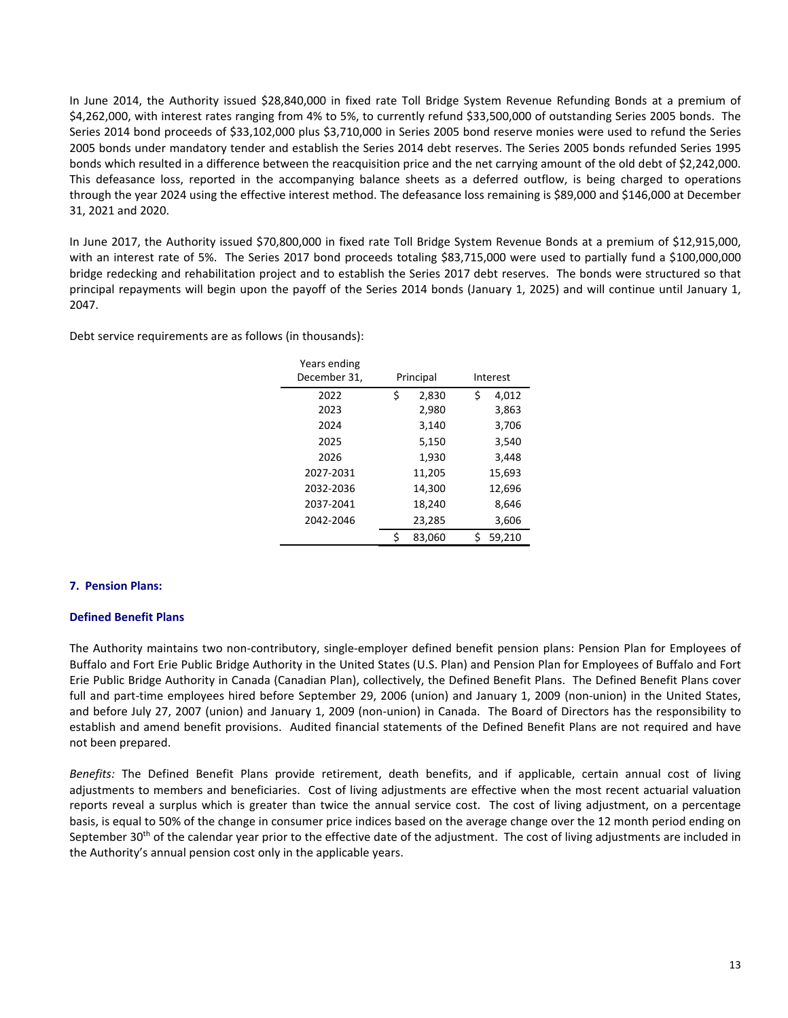In June 2014, the Authority issued \$28,840,000 in fixed rate Toll Bridge System Revenue Refunding Bonds at a premium of \$4,262,000, with interest rates ranging from 4% to 5%, to currently refund \$33,500,000 of outstanding Series 2005 bonds. The Series 2014 bond proceeds of \$33,102,000 plus \$3,710,000 in Series 2005 bond reserve monies were used to refund the Series 2005 bonds under mandatory tender and establish the Series 2014 debt reserves. The Series 2005 bonds refunded Series 1995 bonds which resulted in a difference between the reacquisition price and the net carrying amount of the old debt of \$2,242,000. This defeasance loss, reported in the accompanying balance sheets as a deferred outflow, is being charged to operations through the year 2024 using the effective interest method. The defeasance loss remaining is \$89,000 and \$146,000 at December 31, 2021 and 2020.

In June 2017, the Authority issued \$70,800,000 in fixed rate Toll Bridge System Revenue Bonds at a premium of \$12,915,000, with an interest rate of 5%. The Series 2017 bond proceeds totaling \$83,715,000 were used to partially fund a \$100,000,000 bridge redecking and rehabilitation project and to establish the Series 2017 debt reserves. The bonds were structured so that principal repayments will begin upon the payoff of the Series 2014 bonds (January 1, 2025) and will continue until January 1, 2047.

Debt service requirements are as follows (in thousands):

| Years ending<br>December 31, |   | Principal |    | Interest |
|------------------------------|---|-----------|----|----------|
| 2022                         | Ś | 2,830     | \$ | 4,012    |
| 2023                         |   | 2,980     |    | 3,863    |
| 2024                         |   | 3,140     |    | 3,706    |
| 2025                         |   | 5,150     |    | 3,540    |
| 2026                         |   | 1,930     |    | 3,448    |
| 2027-2031                    |   | 11,205    |    | 15,693   |
| 2032-2036                    |   | 14,300    |    | 12,696   |
| 2037-2041                    |   | 18,240    |    | 8,646    |
| 2042-2046                    |   | 23,285    |    | 3,606    |
|                              | Ś | 83.060    | Ś  | 59,210   |

# **7. Pension Plans:**

### **Defined Benefit Plans**

The Authority maintains two non-contributory, single-employer defined benefit pension plans: Pension Plan for Employees of Buffalo and Fort Erie Public Bridge Authority in the United States (U.S. Plan) and Pension Plan for Employees of Buffalo and Fort Erie Public Bridge Authority in Canada (Canadian Plan), collectively, the Defined Benefit Plans. The Defined Benefit Plans cover full and part-time employees hired before September 29, 2006 (union) and January 1, 2009 (non-union) in the United States, and before July 27, 2007 (union) and January 1, 2009 (non-union) in Canada. The Board of Directors has the responsibility to establish and amend benefit provisions. Audited financial statements of the Defined Benefit Plans are not required and have not been prepared.

*Benefits:* The Defined Benefit Plans provide retirement, death benefits, and if applicable, certain annual cost of living adjustments to members and beneficiaries. Cost of living adjustments are effective when the most recent actuarial valuation reports reveal a surplus which is greater than twice the annual service cost. The cost of living adjustment, on a percentage basis, is equal to 50% of the change in consumer price indices based on the average change over the 12 month period ending on September  $30<sup>th</sup>$  of the calendar year prior to the effective date of the adjustment. The cost of living adjustments are included in the Authority's annual pension cost only in the applicable years.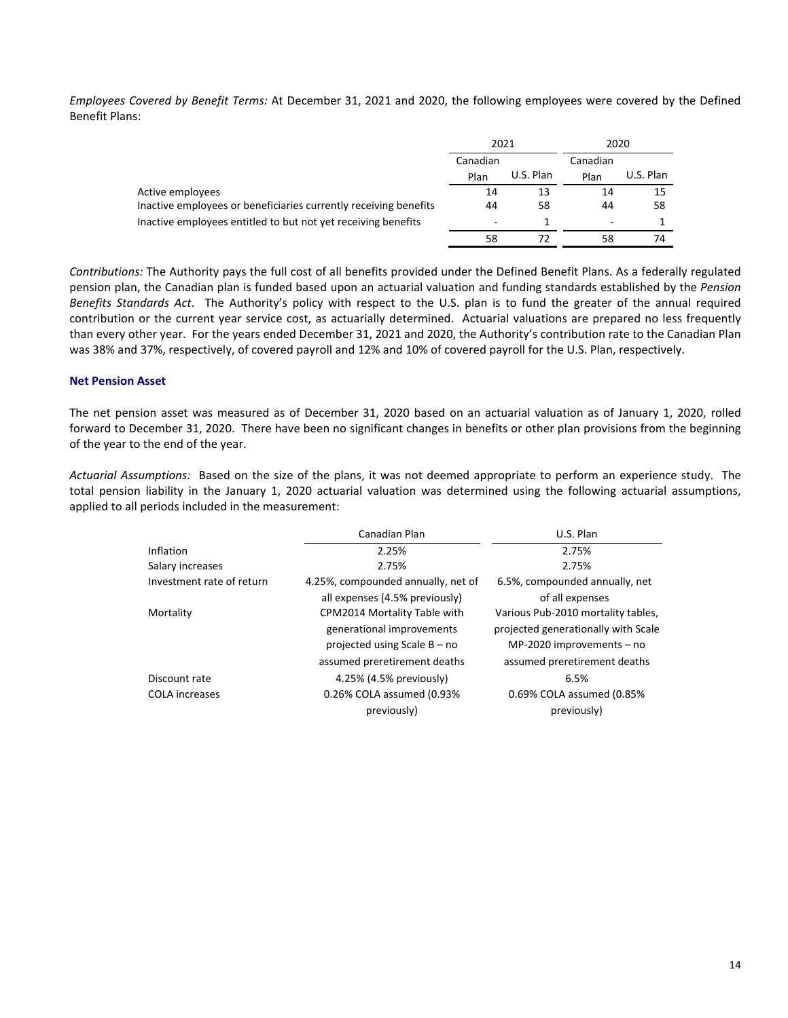*Employees Covered by Benefit Terms:* At December 31, 2021 and 2020, the following employees were covered by the Defined Benefit Plans:

|                                                                  | 2021     |           | 2020 |           |
|------------------------------------------------------------------|----------|-----------|------|-----------|
|                                                                  | Canadian |           |      |           |
|                                                                  | Plan     | U.S. Plan | Plan | U.S. Plan |
| Active employees                                                 | 14       | 13        | 14   | 15        |
| Inactive employees or beneficiaries currently receiving benefits | 44       | 58        | 44   | 58        |
| Inactive employees entitled to but not yet receiving benefits    | ۰        |           | ۰    |           |
|                                                                  | 58       |           | 58   | 74        |

*Contributions:* The Authority pays the full cost of all benefits provided under the Defined Benefit Plans. As a federally regulated pension plan, the Canadian plan is funded based upon an actuarial valuation and funding standards established by the *Pension Benefits Standards Act*. The Authority's policy with respect to the U.S. plan is to fund the greater of the annual required contribution or the current year service cost, as actuarially determined. Actuarial valuations are prepared no less frequently than every other year. For the years ended December 31, 2021 and 2020, the Authority's contribution rate to the Canadian Plan was 38% and 37%, respectively, of covered payroll and 12% and 10% of covered payroll for the U.S. Plan, respectively.

## **Net Pension Asset**

The net pension asset was measured as of December 31, 2020 based on an actuarial valuation as of January 1, 2020, rolled forward to December 31, 2020. There have been no significant changes in benefits or other plan provisions from the beginning of the year to the end of the year.

*Actuarial Assumptions:* Based on the size of the plans, it was not deemed appropriate to perform an experience study. The total pension liability in the January 1, 2020 actuarial valuation was determined using the following actuarial assumptions, applied to all periods included in the measurement:

|                           | Canadian Plan                      | U.S. Plan                           |
|---------------------------|------------------------------------|-------------------------------------|
| <b>Inflation</b>          | 2.25%                              | 2.75%                               |
| Salary increases          | 2.75%                              | 2.75%                               |
| Investment rate of return | 4.25%, compounded annually, net of | 6.5%, compounded annually, net      |
|                           | all expenses (4.5% previously)     | of all expenses                     |
| Mortality                 | CPM2014 Mortality Table with       | Various Pub-2010 mortality tables,  |
|                           | generational improvements          | projected generationally with Scale |
|                           | projected using Scale $B - no$     | MP-2020 improvements $-$ no         |
|                           | assumed preretirement deaths       | assumed preretirement deaths        |
| Discount rate             | 4.25% (4.5% previously)            | 6.5%                                |
| <b>COLA</b> increases     | 0.26% COLA assumed (0.93%          | 0.69% COLA assumed (0.85%           |
|                           | previously)                        | previously)                         |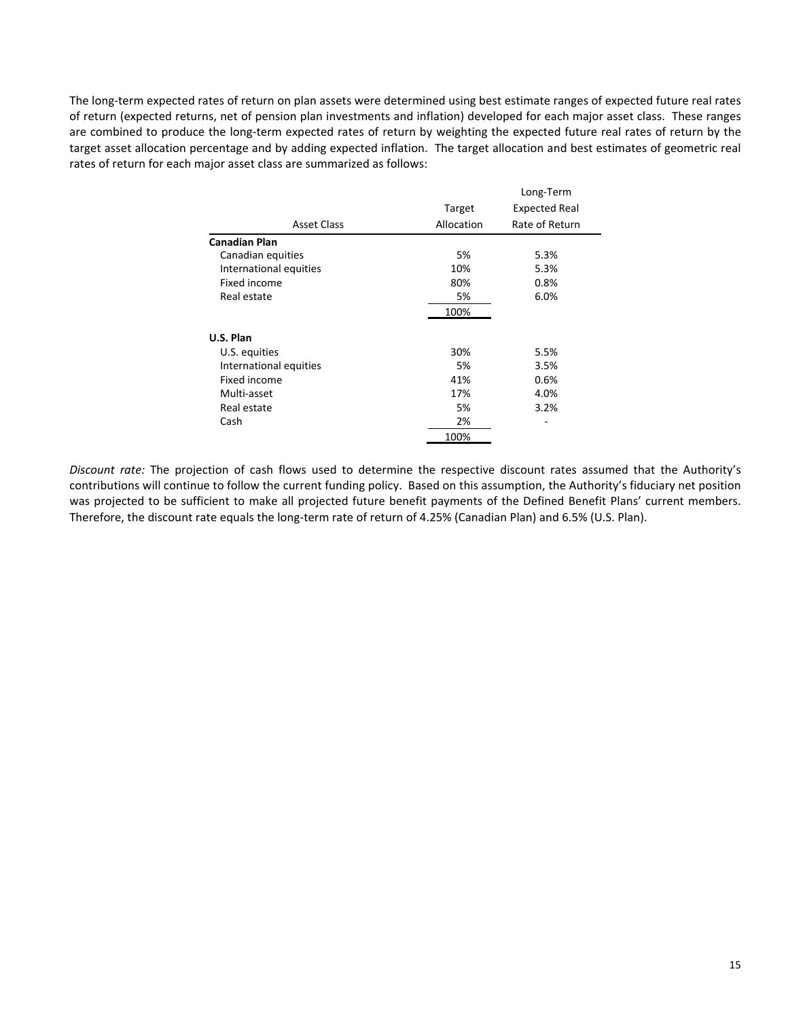The long-term expected rates of return on plan assets were determined using best estimate ranges of expected future real rates of return (expected returns, net of pension plan investments and inflation) developed for each major asset class. These ranges are combined to produce the long-term expected rates of return by weighting the expected future real rates of return by the target asset allocation percentage and by adding expected inflation. The target allocation and best estimates of geometric real rates of return for each major asset class are summarized as follows:

|                        |            | Long-Term            |
|------------------------|------------|----------------------|
|                        | Target     | <b>Expected Real</b> |
| <b>Asset Class</b>     | Allocation | Rate of Return       |
| <b>Canadian Plan</b>   |            |                      |
| Canadian equities      | 5%         | 5.3%                 |
| International equities | 10%        | 5.3%                 |
| Fixed income           | 80%        | 0.8%                 |
| Real estate            | 5%         | 6.0%                 |
|                        | 100%       |                      |
| U.S. Plan              |            |                      |
| U.S. equities          | 30%        | 5.5%                 |
| International equities | 5%         | 3.5%                 |
| Fixed income           | 41%        | 0.6%                 |
| Multi-asset            | 17%        | 4.0%                 |
| Real estate            | 5%         | 3.2%                 |
| Cash                   | 2%         |                      |
|                        | 100%       |                      |

*Discount rate:* The projection of cash flows used to determine the respective discount rates assumed that the Authority's contributions will continue to follow the current funding policy. Based on this assumption, the Authority's fiduciary net position was projected to be sufficient to make all projected future benefit payments of the Defined Benefit Plans' current members. Therefore, the discount rate equals the long-term rate of return of 4.25% (Canadian Plan) and 6.5% (U.S. Plan).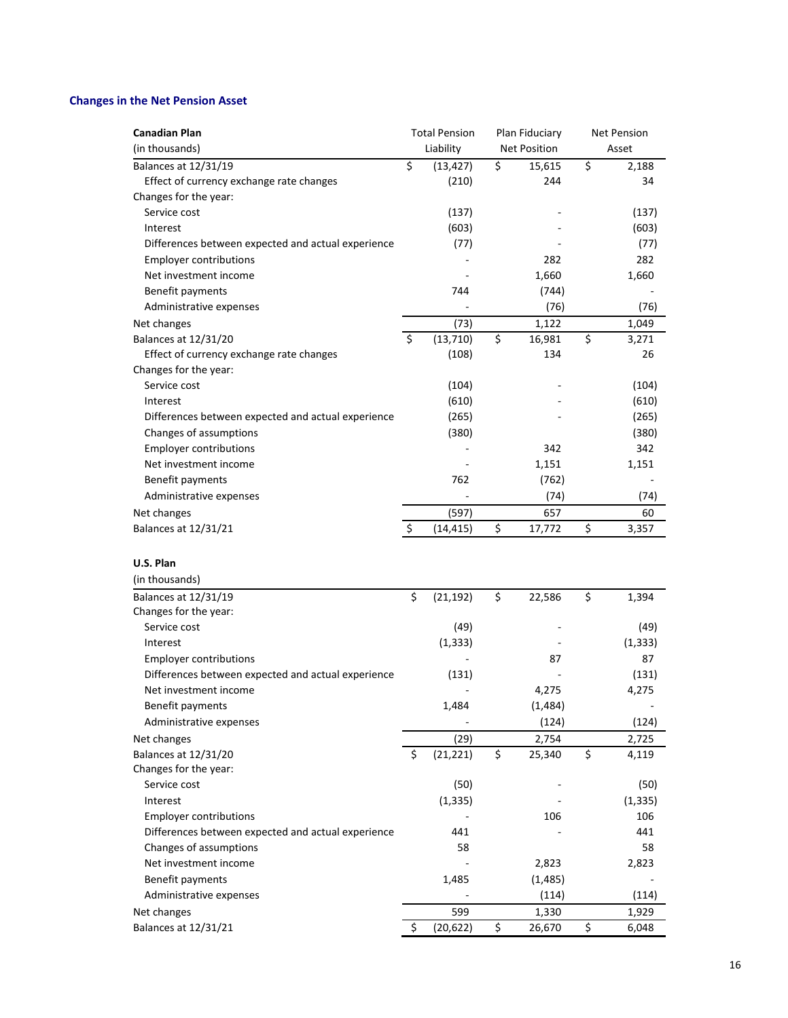# **Changes in the Net Pension Asset**

| <b>Canadian Plan</b>                                                                |    | <b>Total Pension</b> | Plan Fiduciary |                     | <b>Net Pension</b> |  |
|-------------------------------------------------------------------------------------|----|----------------------|----------------|---------------------|--------------------|--|
| (in thousands)                                                                      |    | Liability            |                | <b>Net Position</b> | Asset              |  |
| <b>Balances at 12/31/19</b>                                                         | \$ | (13, 427)            | \$             | 15,615              | \$<br>2,188        |  |
| Effect of currency exchange rate changes                                            |    | (210)                |                | 244                 | 34                 |  |
| Changes for the year:                                                               |    |                      |                |                     |                    |  |
| Service cost                                                                        |    | (137)                |                |                     | (137)              |  |
| Interest                                                                            |    | (603)                |                |                     | (603)              |  |
| Differences between expected and actual experience                                  |    | (77)                 |                |                     | (77)               |  |
| <b>Employer contributions</b>                                                       |    |                      |                | 282                 | 282                |  |
| Net investment income                                                               |    |                      |                | 1,660               | 1,660              |  |
| Benefit payments                                                                    |    | 744                  |                | (744)               |                    |  |
| Administrative expenses                                                             |    |                      |                | (76)                | (76)               |  |
| Net changes                                                                         |    | (73)                 |                | 1,122               | 1,049              |  |
| Balances at 12/31/20                                                                | Ś. | (13, 710)            | \$             | 16,981              | \$<br>3,271        |  |
| Effect of currency exchange rate changes                                            |    | (108)                |                | 134                 | 26                 |  |
| Changes for the year:                                                               |    |                      |                |                     |                    |  |
| Service cost                                                                        |    | (104)                |                |                     | (104)              |  |
| Interest                                                                            |    | (610)                |                |                     | (610)              |  |
| Differences between expected and actual experience                                  |    | (265)                |                |                     | (265)              |  |
| Changes of assumptions                                                              |    | (380)                |                |                     | (380)              |  |
| <b>Employer contributions</b>                                                       |    |                      |                | 342                 | 342                |  |
| Net investment income                                                               |    |                      |                | 1,151               | 1,151              |  |
| Benefit payments                                                                    |    | 762                  |                | (762)               |                    |  |
| Administrative expenses                                                             |    |                      |                | (74)                | (74)               |  |
| Net changes                                                                         |    | (597)                |                | 657                 | 60                 |  |
| Balances at 12/31/21                                                                | \$ | (14, 415)            | \$             | 17,772              | \$<br>3,357        |  |
|                                                                                     |    |                      |                |                     |                    |  |
| U.S. Plan                                                                           |    |                      |                |                     |                    |  |
| (in thousands)                                                                      |    |                      |                |                     |                    |  |
|                                                                                     | \$ |                      |                |                     |                    |  |
| Balances at 12/31/19<br>Changes for the year:                                       |    | (21, 192)            | \$             | 22,586              | \$<br>1,394        |  |
| Service cost                                                                        |    | (49)                 |                |                     | (49)               |  |
| Interest                                                                            |    | (1, 333)             |                |                     | (1, 333)           |  |
|                                                                                     |    |                      |                | 87                  | 87                 |  |
| <b>Employer contributions</b><br>Differences between expected and actual experience |    | (131)                |                |                     | (131)              |  |
| Net investment income                                                               |    |                      |                |                     |                    |  |
|                                                                                     |    |                      |                | 4,275               | 4,275              |  |
| Benefit payments                                                                    |    | 1,484                |                | (1, 484)            |                    |  |
| Administrative expenses                                                             |    |                      |                | (124)               | (124)              |  |
| Net changes                                                                         | \$ | (29)                 |                | 2,754               | 2,725              |  |
| Balances at 12/31/20<br>Changes for the year:                                       |    | (21, 221)            | \$             | 25,340              | \$<br>4,119        |  |
| Service cost                                                                        |    |                      |                |                     |                    |  |
|                                                                                     |    | (50)                 |                |                     | (50)               |  |
| Interest                                                                            |    | (1, 335)             |                |                     | (1, 335)           |  |
| <b>Employer contributions</b>                                                       |    |                      |                | 106                 | 106                |  |
| Differences between expected and actual experience<br>Changes of assumptions        |    | 441                  |                |                     | 441                |  |
|                                                                                     |    | 58                   |                |                     | 58                 |  |
| Net investment income                                                               |    |                      |                | 2,823               | 2,823              |  |
| Benefit payments                                                                    |    | 1,485                |                | (1, 485)            |                    |  |
| Administrative expenses                                                             |    |                      |                | (114)               | (114)              |  |
| Net changes                                                                         |    | 599                  |                | 1,330               | 1,929              |  |
| Balances at 12/31/21                                                                | \$ | (20, 622)            | \$             | 26,670              | \$<br>6,048        |  |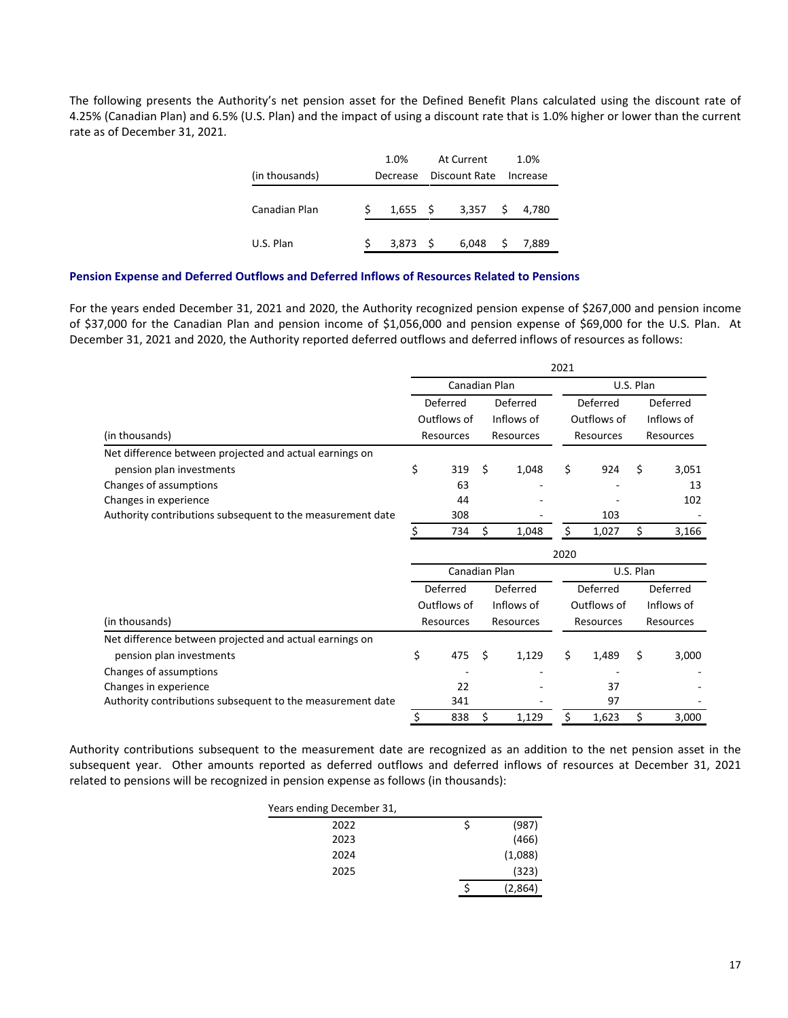The following presents the Authority's net pension asset for the Defined Benefit Plans calculated using the discount rate of 4.25% (Canadian Plan) and 6.5% (U.S. Plan) and the impact of using a discount rate that is 1.0% higher or lower than the current rate as of December 31, 2021.

|                |          | 1.0%            | At Current        |  | 1.0%     |
|----------------|----------|-----------------|-------------------|--|----------|
| (in thousands) | Decrease |                 | Discount Rate     |  | Increase |
| Canadian Plan  | Ś        |                 | 1,655 \$ 3,357 \$ |  | 4,780    |
| U.S. Plan      |          | $3.873 \quad S$ | 6,048             |  | 7,889    |

### **Pension Expense and Deferred Outflows and Deferred Inflows of Resources Related to Pensions**

For the years ended December 31, 2021 and 2020, the Authority recognized pension expense of \$267,000 and pension income of \$37,000 for the Canadian Plan and pension income of \$1,056,000 and pension expense of \$69,000 for the U.S. Plan. At December 31, 2021 and 2020, the Authority reported deferred outflows and deferred inflows of resources as follows:

|                                                            | 2021 |               |    |                  |           |             |           |            |  |
|------------------------------------------------------------|------|---------------|----|------------------|-----------|-------------|-----------|------------|--|
|                                                            |      | Canadian Plan |    |                  | U.S. Plan |             |           |            |  |
|                                                            |      | Deferred      |    | Deferred         |           | Deferred    |           | Deferred   |  |
|                                                            |      | Outflows of   |    | Inflows of       |           | Outflows of |           | Inflows of |  |
| (in thousands)                                             |      | Resources     |    | <b>Resources</b> |           | Resources   |           | Resources  |  |
| Net difference between projected and actual earnings on    |      |               |    |                  |           |             |           |            |  |
| pension plan investments                                   | \$   | 319           | \$ | 1,048            | \$        | 924         | \$        | 3,051      |  |
| Changes of assumptions                                     |      | 63            |    |                  |           |             |           | 13         |  |
| Changes in experience                                      |      | 44            |    |                  |           |             |           | 102        |  |
| Authority contributions subsequent to the measurement date |      | 308           |    |                  |           | 103         |           |            |  |
|                                                            | Ś.   | 734           | Ś  | 1,048            | Ś         | 1,027       | Ś         | 3,166      |  |
|                                                            |      |               |    |                  | 2020      |             |           |            |  |
|                                                            |      | Canadian Plan |    |                  |           |             | U.S. Plan |            |  |
|                                                            |      | Deferred      |    | Deferred         | Deferred  |             | Deferred  |            |  |
|                                                            |      | Outflows of   |    | Inflows of       |           | Outflows of |           | Inflows of |  |
| (in thousands)                                             |      | Resources     |    | Resources        |           | Resources   |           | Resources  |  |
| Net difference between projected and actual earnings on    |      |               |    |                  |           |             |           |            |  |
| pension plan investments                                   | \$   | 475           | Ś. | 1,129            | \$        | 1,489       | \$        | 3,000      |  |
| Changes of assumptions                                     |      |               |    |                  |           |             |           |            |  |
| Changes in experience                                      |      | 22            |    |                  |           | 37          |           |            |  |
| Authority contributions subsequent to the measurement date |      | 341           |    |                  |           | 97          |           |            |  |
|                                                            | \$   | 838           | \$ | 1,129            | \$        | 1,623       | \$        | 3,000      |  |

Authority contributions subsequent to the measurement date are recognized as an addition to the net pension asset in the subsequent year. Other amounts reported as deferred outflows and deferred inflows of resources at December 31, 2021 related to pensions will be recognized in pension expense as follows (in thousands):

| Years ending December 31, |             |
|---------------------------|-------------|
| 2022                      | \$<br>(987) |
| 2023                      | (466)       |
| 2024                      | (1,088)     |
| 2025                      | (323)       |
|                           | (2,864)     |
|                           |             |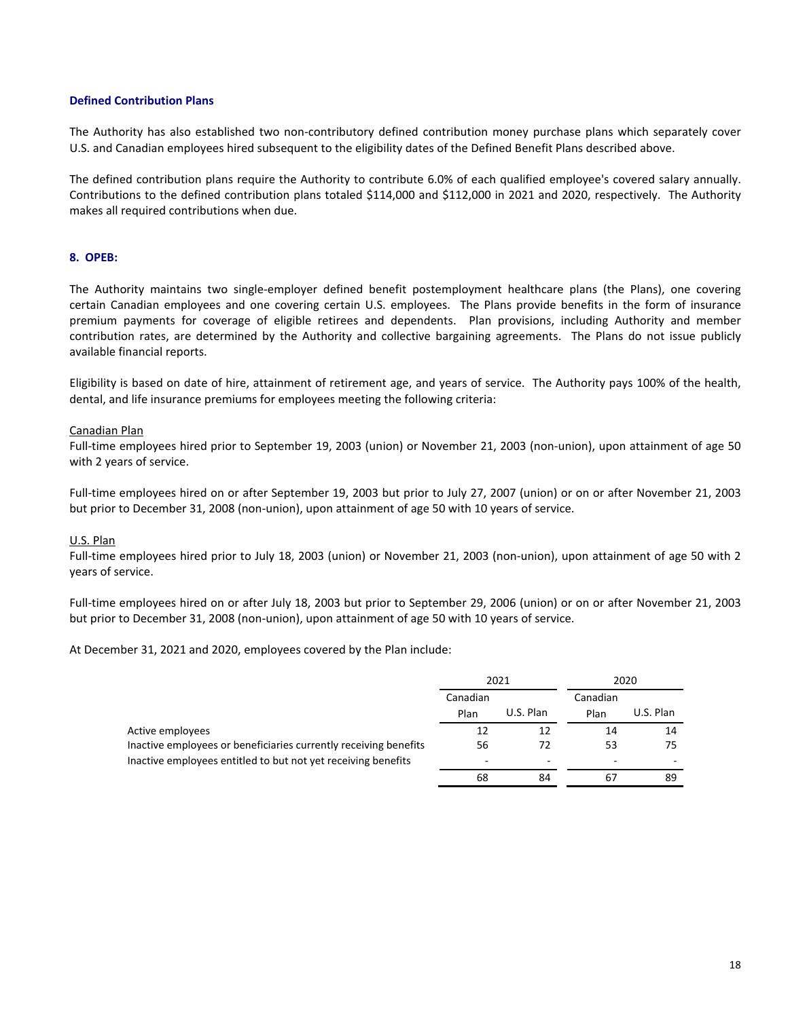### **Defined Contribution Plans**

The Authority has also established two non-contributory defined contribution money purchase plans which separately cover U.S. and Canadian employees hired subsequent to the eligibility dates of the Defined Benefit Plans described above.

The defined contribution plans require the Authority to contribute 6.0% of each qualified employee's covered salary annually. Contributions to the defined contribution plans totaled \$114,000 and \$112,000 in 2021 and 2020, respectively. The Authority makes all required contributions when due.

## **8. OPEB:**

The Authority maintains two single-employer defined benefit postemployment healthcare plans (the Plans), one covering certain Canadian employees and one covering certain U.S. employees. The Plans provide benefits in the form of insurance premium payments for coverage of eligible retirees and dependents. Plan provisions, including Authority and member contribution rates, are determined by the Authority and collective bargaining agreements. The Plans do not issue publicly available financial reports.

Eligibility is based on date of hire, attainment of retirement age, and years of service. The Authority pays 100% of the health, dental, and life insurance premiums for employees meeting the following criteria:

### Canadian Plan

Full-time employees hired prior to September 19, 2003 (union) or November 21, 2003 (non-union), upon attainment of age 50 with 2 years of service.

Full-time employees hired on or after September 19, 2003 but prior to July 27, 2007 (union) or on or after November 21, 2003 but prior to December 31, 2008 (non-union), upon attainment of age 50 with 10 years of service.

### U.S. Plan

Full-time employees hired prior to July 18, 2003 (union) or November 21, 2003 (non-union), upon attainment of age 50 with 2 years of service.

Full-time employees hired on or after July 18, 2003 but prior to September 29, 2006 (union) or on or after November 21, 2003 but prior to December 31, 2008 (non-union), upon attainment of age 50 with 10 years of service.

At December 31, 2021 and 2020, employees covered by the Plan include:

|                                                                  | 2021                     |           |      | 2020      |          |  |
|------------------------------------------------------------------|--------------------------|-----------|------|-----------|----------|--|
|                                                                  | Canadian                 |           |      |           | Canadian |  |
|                                                                  | Plan                     | U.S. Plan | Plan | U.S. Plan |          |  |
| Active employees                                                 | 12                       | 12        | 14   | 14        |          |  |
| Inactive employees or beneficiaries currently receiving benefits | 56                       | 72        | 53   | 75.       |          |  |
| Inactive employees entitled to but not yet receiving benefits    | $\overline{\phantom{a}}$ |           |      |           |          |  |
|                                                                  | 68                       | 84        | 67   | 89        |          |  |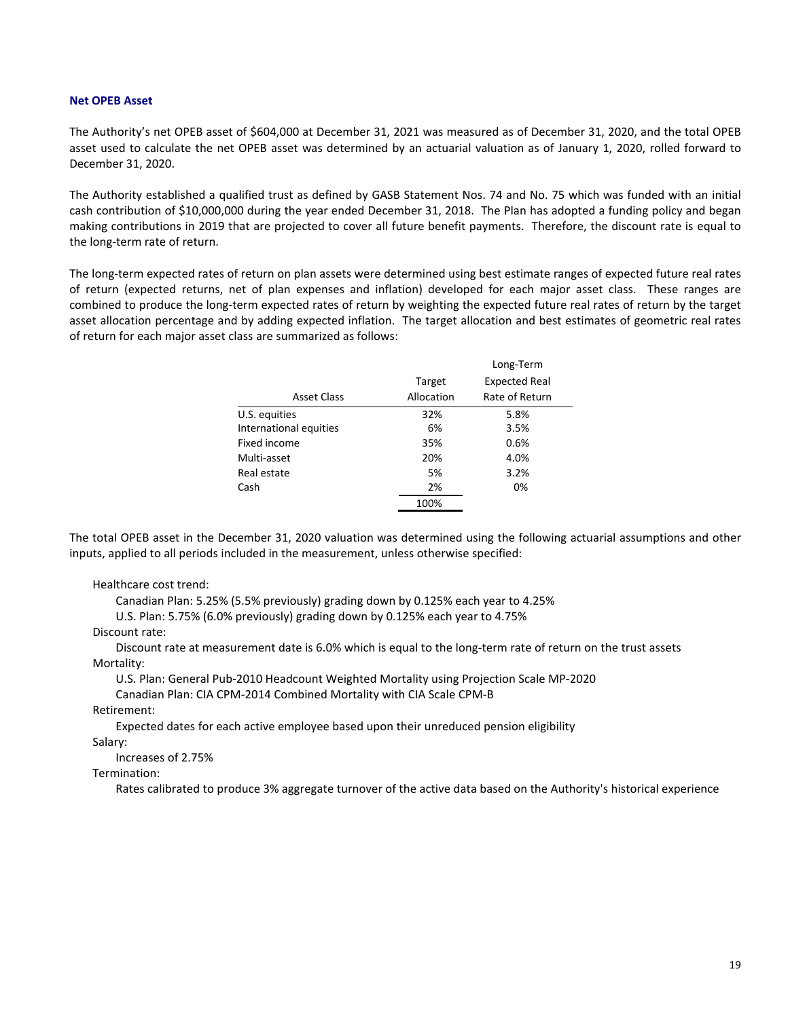### **Net OPEB Asset**

The Authority's net OPEB asset of \$604,000 at December 31, 2021 was measured as of December 31, 2020, and the total OPEB asset used to calculate the net OPEB asset was determined by an actuarial valuation as of January 1, 2020, rolled forward to December 31, 2020.

The Authority established a qualified trust as defined by GASB Statement Nos. 74 and No. 75 which was funded with an initial cash contribution of \$10,000,000 during the year ended December 31, 2018. The Plan has adopted a funding policy and began making contributions in 2019 that are projected to cover all future benefit payments. Therefore, the discount rate is equal to the long-term rate of return.

The long-term expected rates of return on plan assets were determined using best estimate ranges of expected future real rates of return (expected returns, net of plan expenses and inflation) developed for each major asset class. These ranges are combined to produce the long-term expected rates of return by weighting the expected future real rates of return by the target asset allocation percentage and by adding expected inflation. The target allocation and best estimates of geometric real rates of return for each major asset class are summarized as follows:

|                        |            | Long-Term            |
|------------------------|------------|----------------------|
|                        | Target     | <b>Expected Real</b> |
| <b>Asset Class</b>     | Allocation | Rate of Return       |
| U.S. equities          | 32%        | 5.8%                 |
| International equities | 6%         | 3.5%                 |
| Fixed income           | 35%        | 0.6%                 |
| Multi-asset            | 20%        | 4.0%                 |
| Real estate            | 5%         | 3.2%                 |
| Cash                   | 2%         | 0%                   |
|                        | 100%       |                      |

The total OPEB asset in the December 31, 2020 valuation was determined using the following actuarial assumptions and other inputs, applied to all periods included in the measurement, unless otherwise specified:

### Healthcare cost trend:

Canadian Plan: 5.25% (5.5% previously) grading down by 0.125% each year to 4.25%

U.S. Plan: 5.75% (6.0% previously) grading down by 0.125% each year to 4.75%

Discount rate:

Discount rate at measurement date is 6.0% which is equal to the long-term rate of return on the trust assets Mortality:

U.S. Plan: General Pub-2010 Headcount Weighted Mortality using Projection Scale MP-2020

Canadian Plan: CIA CPM-2014 Combined Mortality with CIA Scale CPM-B

Retirement:

Expected dates for each active employee based upon their unreduced pension eligibility

Salary:

Increases of 2.75%

Termination:

Rates calibrated to produce 3% aggregate turnover of the active data based on the Authority's historical experience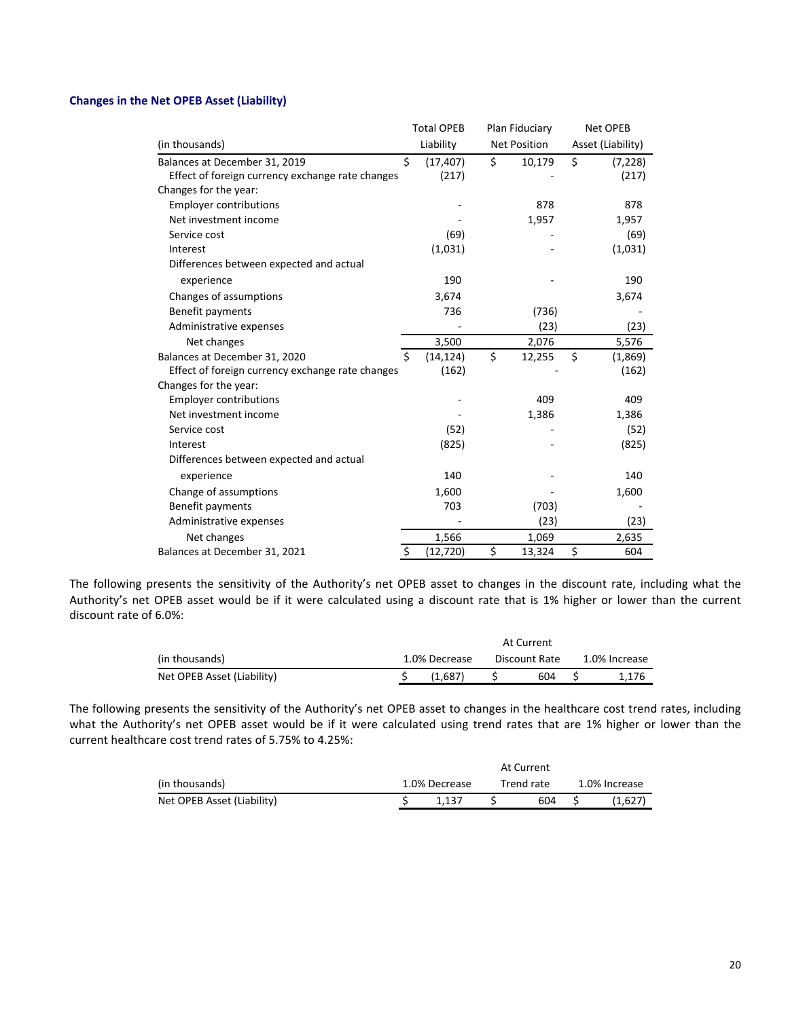## **Changes in the Net OPEB Asset (Liability)**

|                                                  |    | <b>Total OPEB</b> | Plan Fiduciary      | Net OPEB          |
|--------------------------------------------------|----|-------------------|---------------------|-------------------|
| (in thousands)                                   |    | Liability         | <b>Net Position</b> | Asset (Liability) |
| Balances at December 31, 2019                    | \$ | (17, 407)         | \$<br>10,179        | \$<br>(7, 228)    |
| Effect of foreign currency exchange rate changes |    | (217)             |                     | (217)             |
| Changes for the year:                            |    |                   |                     |                   |
| <b>Employer contributions</b>                    |    |                   | 878                 | 878               |
| Net investment income                            |    |                   | 1,957               | 1,957             |
| Service cost                                     |    | (69)              |                     | (69)              |
| Interest                                         |    | (1,031)           |                     | (1,031)           |
| Differences between expected and actual          |    |                   |                     |                   |
| experience                                       |    | 190               |                     | 190               |
| Changes of assumptions                           |    | 3,674             |                     | 3,674             |
| Benefit payments                                 |    | 736               | (736)               |                   |
| Administrative expenses                          |    |                   | (23)                | (23)              |
| Net changes                                      |    | 3,500             | 2,076               | 5,576             |
| Balances at December 31, 2020                    | Ś  | (14, 124)         | \$<br>12,255        | \$<br>(1,869)     |
| Effect of foreign currency exchange rate changes |    | (162)             |                     | (162)             |
| Changes for the year:                            |    |                   |                     |                   |
| <b>Employer contributions</b>                    |    |                   | 409                 | 409               |
| Net investment income                            |    |                   | 1,386               | 1,386             |
| Service cost                                     |    | (52)              |                     | (52)              |
| Interest                                         |    | (825)             |                     | (825)             |
| Differences between expected and actual          |    |                   |                     |                   |
| experience                                       |    | 140               |                     | 140               |
| Change of assumptions                            |    | 1,600             |                     | 1,600             |
| Benefit payments                                 |    | 703               | (703)               |                   |
| Administrative expenses                          |    |                   | (23)                | (23)              |
| Net changes                                      |    | 1,566             | 1,069               | 2,635             |
| Balances at December 31, 2021                    | \$ | (12, 720)         | \$<br>13,324        | \$<br>604         |

The following presents the sensitivity of the Authority's net OPEB asset to changes in the discount rate, including what the Authority's net OPEB asset would be if it were calculated using a discount rate that is 1% higher or lower than the current discount rate of 6.0%:

|                            | At Current |               |  |               |  |               |  |  |  |  |  |
|----------------------------|------------|---------------|--|---------------|--|---------------|--|--|--|--|--|
| (in thousands)             |            | 1.0% Decrease |  | Discount Rate |  | 1.0% Increase |  |  |  |  |  |
| Net OPEB Asset (Liability) |            | (1.687)       |  | 604           |  | 1.176         |  |  |  |  |  |

The following presents the sensitivity of the Authority's net OPEB asset to changes in the healthcare cost trend rates, including what the Authority's net OPEB asset would be if it were calculated using trend rates that are 1% higher or lower than the current healthcare cost trend rates of 5.75% to 4.25%:

|                            |               | At Current |               |        |  |
|----------------------------|---------------|------------|---------------|--------|--|
| (in thousands)             | 1.0% Decrease | Trend rate | 1.0% Increase |        |  |
| Net OPEB Asset (Liability) |               | 604        |               | (1.627 |  |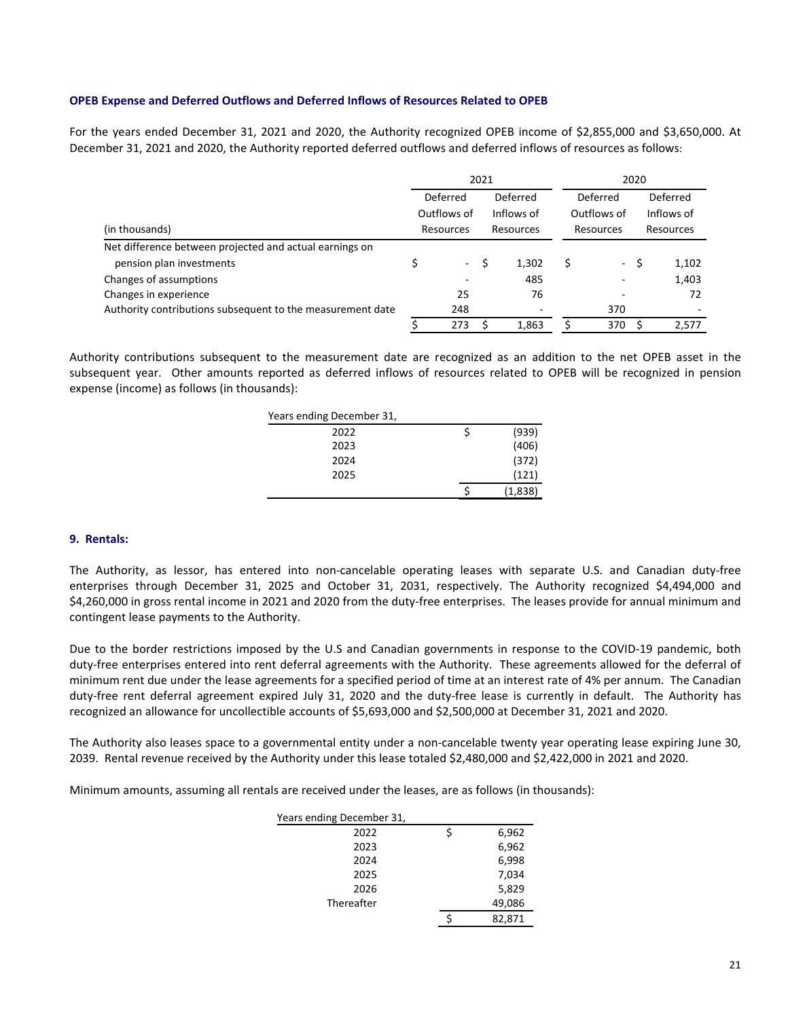### **OPEB Expense and Deferred Outflows and Deferred Inflows of Resources Related to OPEB**

For the years ended December 31, 2021 and 2020, the Authority recognized OPEB income of \$2,855,000 and \$3,650,000. At December 31, 2021 and 2020, the Authority reported deferred outflows and deferred inflows of resources as follows:

|                                                            |             | 2021 |                          | 2020 |                          |    |            |  |  |  |  |
|------------------------------------------------------------|-------------|------|--------------------------|------|--------------------------|----|------------|--|--|--|--|
|                                                            | Deferred    |      | Deferred                 |      | Deferred                 |    | Deferred   |  |  |  |  |
|                                                            | Outflows of |      | Inflows of               |      | Outflows of              |    | Inflows of |  |  |  |  |
| (in thousands)                                             | Resources   |      | Resources                |      | Resources                |    | Resources  |  |  |  |  |
| Net difference between projected and actual earnings on    |             |      |                          |      |                          |    |            |  |  |  |  |
| pension plan investments                                   | $\sim$      | S    | 1,302                    | \$   | $\sim$                   | -S | 1,102      |  |  |  |  |
| Changes of assumptions                                     |             |      | 485                      |      | $\overline{\phantom{a}}$ |    | 1,403      |  |  |  |  |
| Changes in experience                                      | 25          |      | 76                       |      |                          |    | 72         |  |  |  |  |
| Authority contributions subsequent to the measurement date | 248         |      | $\overline{\phantom{a}}$ |      | 370                      |    |            |  |  |  |  |
|                                                            | 273         |      | 1,863                    |      | 370                      |    | 2.577      |  |  |  |  |

Authority contributions subsequent to the measurement date are recognized as an addition to the net OPEB asset in the subsequent year. Other amounts reported as deferred inflows of resources related to OPEB will be recognized in pension expense (income) as follows (in thousands):

| Years ending December 31, |         |
|---------------------------|---------|
| 2022                      | (939)   |
| 2023                      | (406)   |
| 2024                      | (372)   |
| 2025                      | (121)   |
|                           | (1,838) |

# **9. Rentals:**

The Authority, as lessor, has entered into non-cancelable operating leases with separate U.S. and Canadian duty-free enterprises through December 31, 2025 and October 31, 2031, respectively. The Authority recognized \$4,494,000 and \$4,260,000 in gross rental income in 2021 and 2020 from the duty-free enterprises. The leases provide for annual minimum and contingent lease payments to the Authority.

Due to the border restrictions imposed by the U.S and Canadian governments in response to the COVID-19 pandemic, both duty-free enterprises entered into rent deferral agreements with the Authority. These agreements allowed for the deferral of minimum rent due under the lease agreements for a specified period of time at an interest rate of 4% per annum. The Canadian duty-free rent deferral agreement expired July 31, 2020 and the duty-free lease is currently in default. The Authority has recognized an allowance for uncollectible accounts of \$5,693,000 and \$2,500,000 at December 31, 2021 and 2020.

The Authority also leases space to a governmental entity under a non-cancelable twenty year operating lease expiring June 30, 2039. Rental revenue received by the Authority under this lease totaled \$2,480,000 and \$2,422,000 in 2021 and 2020.

Minimum amounts, assuming all rentals are received under the leases, are as follows (in thousands):

| Years ending December 31, |   |        |
|---------------------------|---|--------|
| 2022                      | Ś | 6,962  |
| 2023                      |   | 6,962  |
| 2024                      |   | 6,998  |
| 2025                      |   | 7,034  |
| 2026                      |   | 5,829  |
| Thereafter                |   | 49,086 |
|                           | Ś | 82,871 |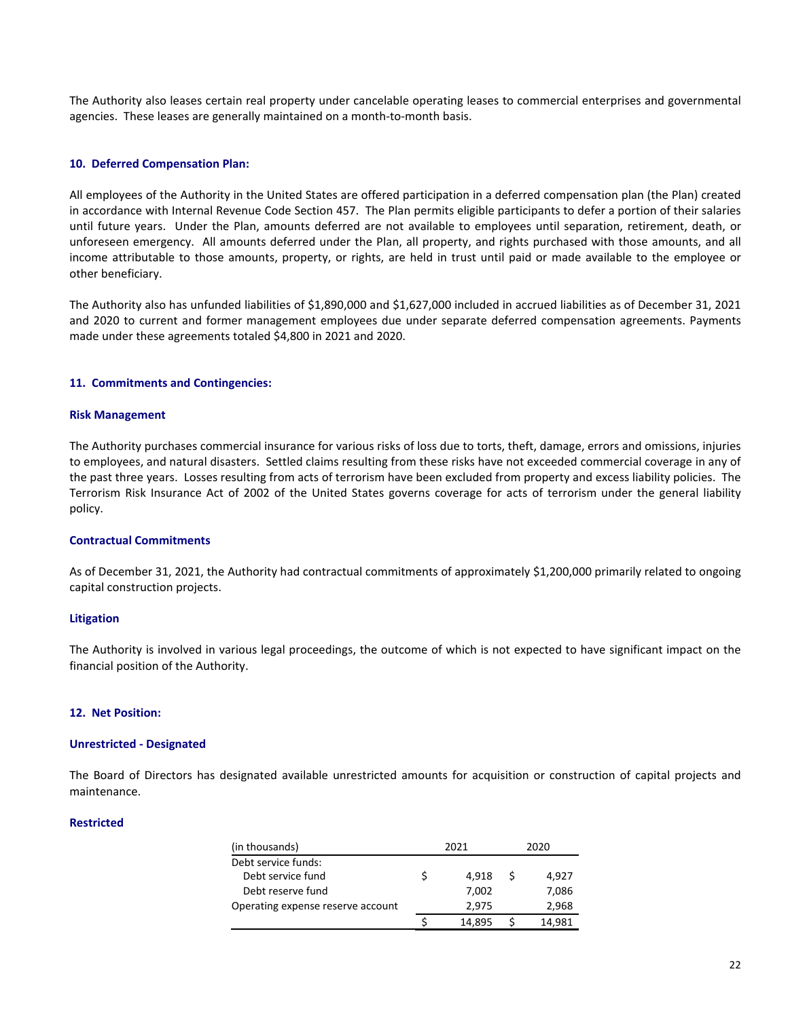The Authority also leases certain real property under cancelable operating leases to commercial enterprises and governmental agencies. These leases are generally maintained on a month-to-month basis.

### **10. Deferred Compensation Plan:**

All employees of the Authority in the United States are offered participation in a deferred compensation plan (the Plan) created in accordance with Internal Revenue Code Section 457. The Plan permits eligible participants to defer a portion of their salaries until future years. Under the Plan, amounts deferred are not available to employees until separation, retirement, death, or unforeseen emergency. All amounts deferred under the Plan, all property, and rights purchased with those amounts, and all income attributable to those amounts, property, or rights, are held in trust until paid or made available to the employee or other beneficiary.

The Authority also has unfunded liabilities of \$1,890,000 and \$1,627,000 included in accrued liabilities as of December 31, 2021 and 2020 to current and former management employees due under separate deferred compensation agreements. Payments made under these agreements totaled \$4,800 in 2021 and 2020.

### **11. Commitments and Contingencies:**

### **Risk Management**

The Authority purchases commercial insurance for various risks of loss due to torts, theft, damage, errors and omissions, injuries to employees, and natural disasters. Settled claims resulting from these risks have not exceeded commercial coverage in any of the past three years. Losses resulting from acts of terrorism have been excluded from property and excess liability policies. The Terrorism Risk Insurance Act of 2002 of the United States governs coverage for acts of terrorism under the general liability policy.

### **Contractual Commitments**

As of December 31, 2021, the Authority had contractual commitments of approximately \$1,200,000 primarily related to ongoing capital construction projects.

### **Litigation**

The Authority is involved in various legal proceedings, the outcome of which is not expected to have significant impact on the financial position of the Authority.

### **12. Net Position:**

### **Unrestricted - Designated**

The Board of Directors has designated available unrestricted amounts for acquisition or construction of capital projects and maintenance.

### **Restricted**

| (in thousands)                    |   | 2021   | 2020   |
|-----------------------------------|---|--------|--------|
| Debt service funds:               |   |        |        |
| Debt service fund                 | S | 4,918  | 4,927  |
| Debt reserve fund                 |   | 7,002  | 7,086  |
| Operating expense reserve account |   | 2,975  | 2,968  |
|                                   |   | 14.895 | 14.981 |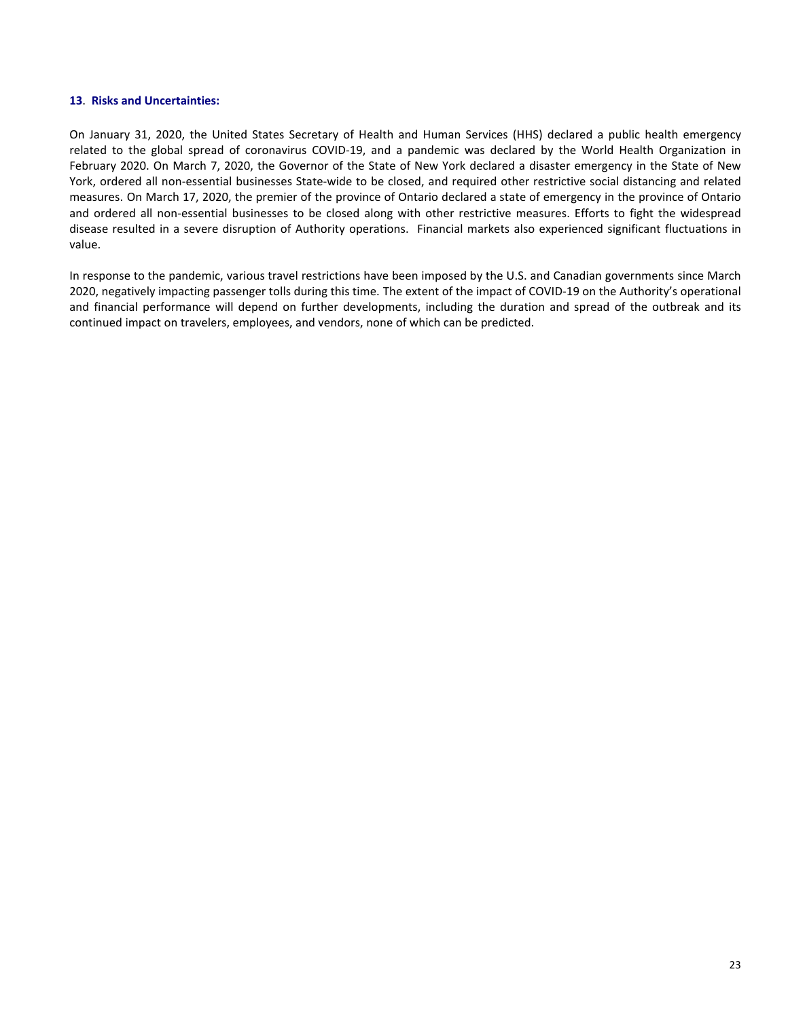### **13**. **Risks and Uncertainties:**

On January 31, 2020, the United States Secretary of Health and Human Services (HHS) declared a public health emergency related to the global spread of coronavirus COVID-19, and a pandemic was declared by the World Health Organization in February 2020. On March 7, 2020, the Governor of the State of New York declared a disaster emergency in the State of New York, ordered all non-essential businesses State-wide to be closed, and required other restrictive social distancing and related measures. On March 17, 2020, the premier of the province of Ontario declared a state of emergency in the province of Ontario and ordered all non-essential businesses to be closed along with other restrictive measures. Efforts to fight the widespread disease resulted in a severe disruption of Authority operations. Financial markets also experienced significant fluctuations in value.

In response to the pandemic, various travel restrictions have been imposed by the U.S. and Canadian governments since March 2020, negatively impacting passenger tolls during this time. The extent of the impact of COVID-19 on the Authority's operational and financial performance will depend on further developments, including the duration and spread of the outbreak and its continued impact on travelers, employees, and vendors, none of which can be predicted.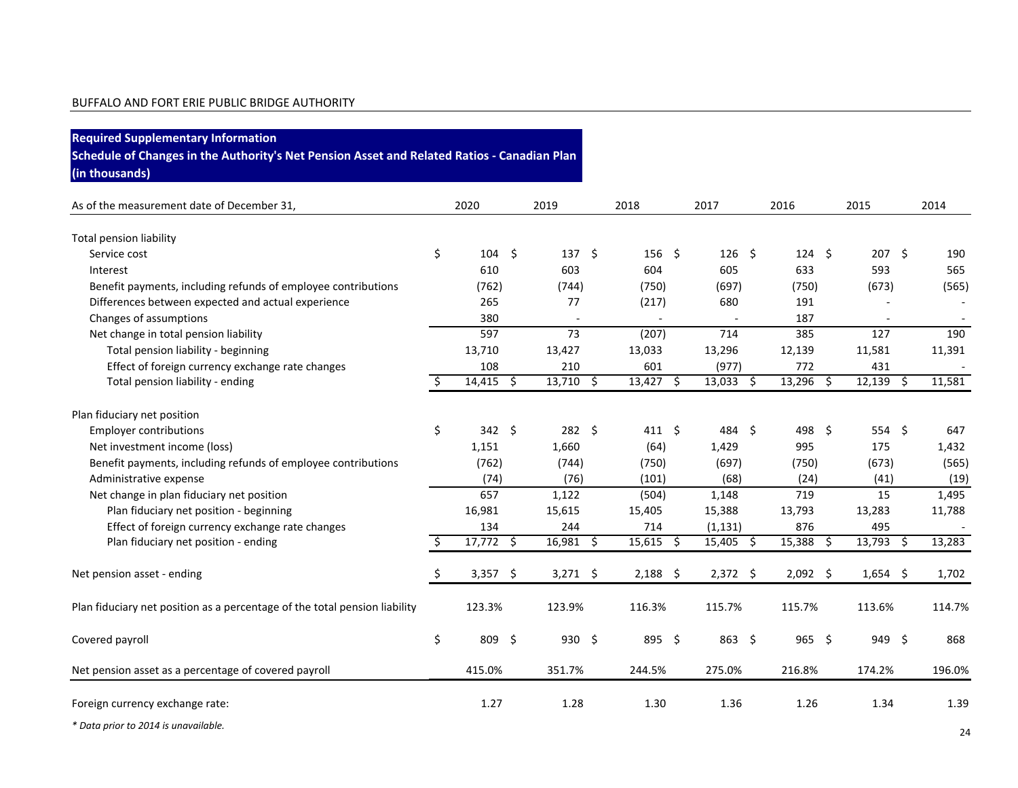| <b>Required Supplementary Information</b><br>Schedule of Changes in the Authority's Net Pension Asset and Related Ratios - Canadian Plan<br>(in thousands) |     |                |                |                          |                          |                   |     |                   |     |        |
|------------------------------------------------------------------------------------------------------------------------------------------------------------|-----|----------------|----------------|--------------------------|--------------------------|-------------------|-----|-------------------|-----|--------|
| As of the measurement date of December 31,                                                                                                                 |     | 2020           | 2019           | 2018                     | 2017                     | 2016              |     | 2015              |     | 2014   |
| <b>Total pension liability</b>                                                                                                                             |     |                |                |                          |                          |                   |     |                   |     |        |
| Service cost                                                                                                                                               | \$  | $104 \quad $5$ | $137 \quad $5$ | $156 \; \S$              | $126 \pm$                | $124 \; \text{S}$ |     | $207 \frac{2}{3}$ |     | 190    |
| Interest                                                                                                                                                   |     | 610            | 603            | 604                      | 605                      | 633               |     | 593               |     | 565    |
| Benefit payments, including refunds of employee contributions                                                                                              |     | (762)          | (744)          | (750)                    | (697)                    | (750)             |     | (673)             |     | (565)  |
| Differences between expected and actual experience                                                                                                         |     | 265            | 77             | (217)                    | 680                      | 191               |     |                   |     |        |
| Changes of assumptions                                                                                                                                     |     | 380            | $\blacksquare$ | $\overline{\phantom{a}}$ | $\overline{\phantom{a}}$ | 187               |     |                   |     |        |
| Net change in total pension liability                                                                                                                      |     | 597            | 73             | (207)                    | 714                      | 385               |     | 127               |     | 190    |
| Total pension liability - beginning                                                                                                                        |     | 13,710         | 13,427         | 13,033                   | 13,296                   | 12,139            |     | 11,581            |     | 11,391 |
| Effect of foreign currency exchange rate changes                                                                                                           |     | 108            | 210            | 601                      | (977)                    | 772               |     | 431               |     |        |
| Total pension liability - ending                                                                                                                           | \$  | $14,415$ \$    | 13,710 \$      | $13,427$ \$              | $13,033$ \$              | 13,296            | -\$ | 12,139            | Ŝ.  | 11,581 |
| Plan fiduciary net position                                                                                                                                |     |                |                |                          |                          |                   |     |                   |     |        |
| <b>Employer contributions</b>                                                                                                                              | \$  | $342 \div$     | $282 \quad $$  | $411 \; \text{S}$        | 484 \$                   | 498 \$            |     | 554 \$            |     | 647    |
| Net investment income (loss)                                                                                                                               |     | 1,151          | 1,660          | (64)                     | 1,429                    | 995               |     | 175               |     | 1,432  |
| Benefit payments, including refunds of employee contributions                                                                                              |     | (762)          | (744)          | (750)                    | (697)                    | (750)             |     | (673)             |     | (565)  |
| Administrative expense                                                                                                                                     |     | (74)           | (76)           | (101)                    | (68)                     | (24)              |     | (41)              |     | (19)   |
| Net change in plan fiduciary net position                                                                                                                  |     | 657            | 1,122          | (504)                    | 1,148                    | 719               |     | 15                |     | 1,495  |
| Plan fiduciary net position - beginning                                                                                                                    |     | 16,981         | 15,615         | 15,405                   | 15,388                   | 13,793            |     | 13,283            |     | 11,788 |
| Effect of foreign currency exchange rate changes                                                                                                           |     | 134            | 244            | 714                      | (1, 131)                 | 876               |     | 495               |     |        |
| Plan fiduciary net position - ending                                                                                                                       | -\$ | 17,772 \$      | 16,981 \$      | 15,615<br>\$             | $15,405$ \$              | 15,388            | \$. | 13,793            | \$. | 13,283 |
| Net pension asset - ending                                                                                                                                 | \$  | 3,357 \$       | $3,271$ \$     | $2,188$ \$               | $2,372$ \$               | $2,092$ \$        |     | $1,654$ \$        |     | 1,702  |
| Plan fiduciary net position as a percentage of the total pension liability                                                                                 |     | 123.3%         | 123.9%         | 116.3%                   | 115.7%                   | 115.7%            |     | 113.6%            |     | 114.7% |
| Covered payroll                                                                                                                                            | \$  | 809 \$         | $930 \quad $$  | 895 \$                   | 863 \$                   | $965$ \$          |     | 949 \$            |     | 868    |
| Net pension asset as a percentage of covered payroll                                                                                                       |     | 415.0%         | 351.7%         | 244.5%                   | 275.0%                   | 216.8%            |     | 174.2%            |     | 196.0% |
| Foreign currency exchange rate:                                                                                                                            |     | 1.27           | 1.28           | 1.30                     | 1.36                     | 1.26              |     | 1.34              |     | 1.39   |
| $\cdots$                                                                                                                                                   |     |                |                |                          |                          |                   |     |                   |     |        |

*\* Data prior to 2014 is unavailable.*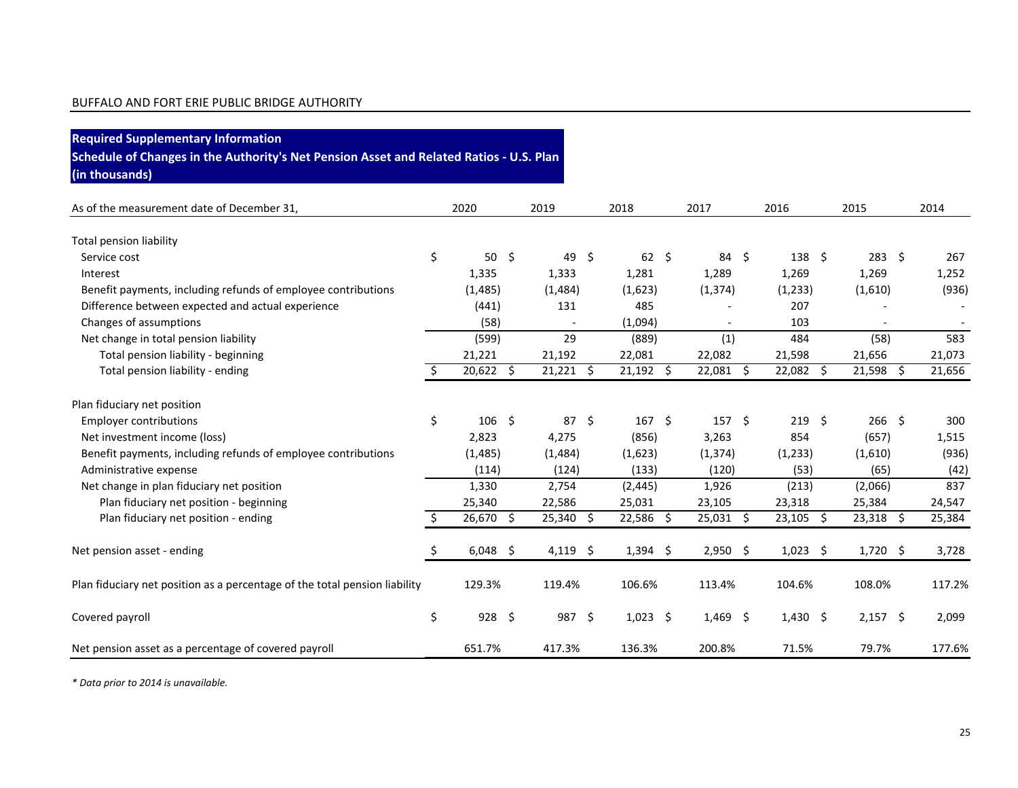| <b>Required Supplementary Information</b><br>Schedule of Changes in the Authority's Net Pension Asset and Related Ratios - U.S. Plan |    |             |                     |            |                   |               |                   |     |                          |        |
|--------------------------------------------------------------------------------------------------------------------------------------|----|-------------|---------------------|------------|-------------------|---------------|-------------------|-----|--------------------------|--------|
| (in thousands)                                                                                                                       |    |             |                     |            |                   |               |                   |     |                          |        |
| As of the measurement date of December 31,                                                                                           |    | 2020        |                     | 2019       | 2018              | 2017          | 2016              |     | 2015                     | 2014   |
| <b>Total pension liability</b>                                                                                                       |    |             |                     |            |                   |               |                   |     |                          |        |
| Service cost                                                                                                                         | \$ | 50          | $\ddot{\mathsf{s}}$ | 49 \$      | $62 \quad $$      | 84 \$         | $138 \; \text{S}$ |     | $283 \; \xi$             | 267    |
| Interest                                                                                                                             |    | 1,335       |                     | 1,333      | 1,281             | 1,289         | 1,269             |     | 1,269                    | 1,252  |
| Benefit payments, including refunds of employee contributions                                                                        |    | (1,485)     |                     | (1,484)    | (1,623)           | (1, 374)      | (1, 233)          |     | (1,610)                  | (936)  |
| Difference between expected and actual experience                                                                                    |    | (441)       |                     | 131        | 485               |               | 207               |     |                          |        |
| Changes of assumptions                                                                                                               |    | (58)        |                     |            | (1,094)           |               | 103               |     | $\overline{\phantom{a}}$ |        |
| Net change in total pension liability                                                                                                |    | (599)       |                     | 29         | (889)             | (1)           | 484               |     | (58)                     | 583    |
| Total pension liability - beginning                                                                                                  |    | 21,221      |                     | 21,192     | 22,081            | 22,082        | 21,598            |     | 21,656                   | 21,073 |
| Total pension liability - ending                                                                                                     |    | $20,622$ \$ |                     | 21,221     | \$<br>$21,192$ \$ | 22,081        | \$<br>22,082      | -\$ | $21,598$ \$              | 21,656 |
| Plan fiduciary net position                                                                                                          |    |             |                     |            |                   |               |                   |     |                          |        |
| <b>Employer contributions</b>                                                                                                        | \$ | $106$ \$    |                     | $87 \;$ \$ | $167 \; \text{S}$ | $157 \quad $$ | $219 \quad $$     |     | $266$ \$                 | 300    |
| Net investment income (loss)                                                                                                         |    | 2,823       |                     | 4,275      | (856)             | 3,263         | 854               |     | (657)                    | 1,515  |
| Benefit payments, including refunds of employee contributions                                                                        |    | (1, 485)    |                     | (1, 484)   | (1,623)           | (1, 374)      | (1, 233)          |     | (1,610)                  | (936)  |
| Administrative expense                                                                                                               |    | (114)       |                     | (124)      | (133)             | (120)         | (53)              |     | (65)                     | (42)   |
| Net change in plan fiduciary net position                                                                                            |    | 1,330       |                     | 2,754      | (2, 445)          | 1,926         | (213)             |     | (2,066)                  | 837    |
| Plan fiduciary net position - beginning                                                                                              |    | 25,340      |                     | 22,586     | 25,031            | 23,105        | 23,318            |     | 25,384                   | 24,547 |
| Plan fiduciary net position - ending                                                                                                 | S  | 26,670 \$   |                     | 25,340     | \$<br>22,586 \$   | $25,031$ \$   | $23,105$ \$       |     | $23,318$ \$              | 25,384 |
| Net pension asset - ending                                                                                                           | \$ | $6,048$ \$  |                     | $4,119$ \$ | $1,394$ \$        | $2,950$ \$    | 1,023             | \$  | $1,720$ \$               | 3,728  |
| Plan fiduciary net position as a percentage of the total pension liability                                                           |    | 129.3%      |                     | 119.4%     | 106.6%            | 113.4%        | 104.6%            |     | 108.0%                   | 117.2% |
| Covered payroll                                                                                                                      | \$ | 928 \$      |                     | 987 \$     | $1,023$ \$        | $1,469$ \$    | $1,430$ \$        |     | $2,157$ \$               | 2,099  |
| Net pension asset as a percentage of covered payroll                                                                                 |    | 651.7%      |                     | 417.3%     | 136.3%            | 200.8%        | 71.5%             |     | 79.7%                    | 177.6% |

*\* Data prior to 2014 is unavailable.*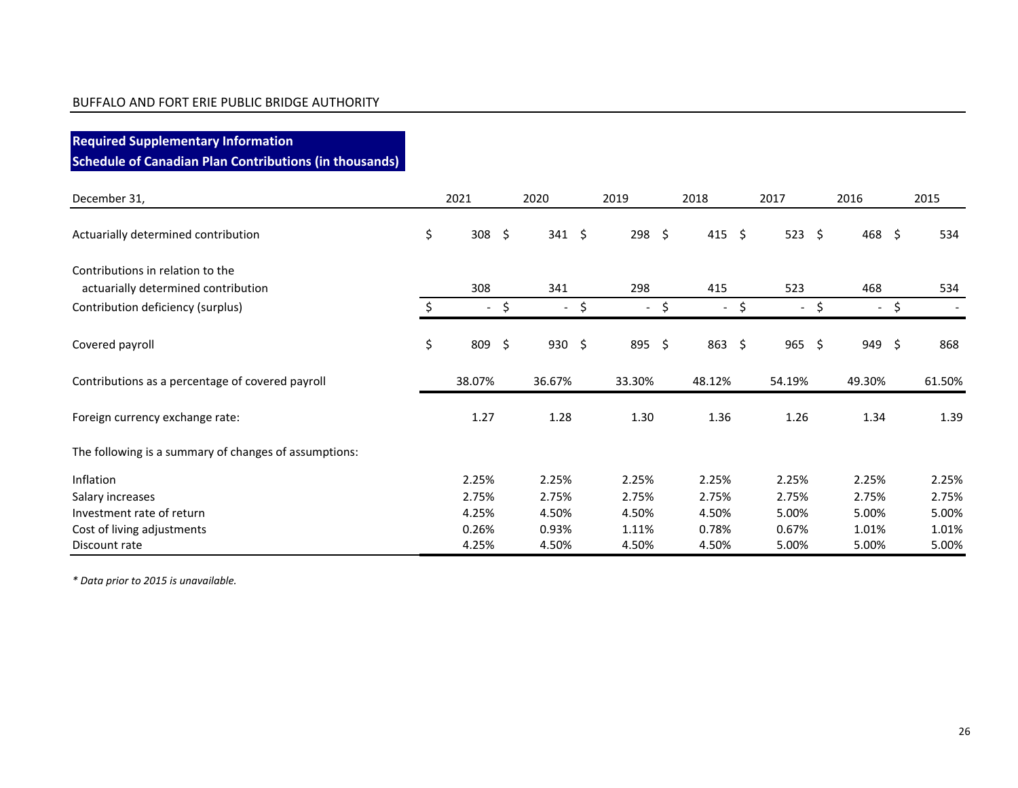| <b>Required Supplementary Information</b>                     |    |                          |                         |              |                     |                          |              |              |        |        |
|---------------------------------------------------------------|----|--------------------------|-------------------------|--------------|---------------------|--------------------------|--------------|--------------|--------|--------|
| <b>Schedule of Canadian Plan Contributions (in thousands)</b> |    |                          |                         |              |                     |                          |              |              |        |        |
| December 31,                                                  |    | 2021                     | 2020                    | 2019         |                     | 2018                     | 2017         | 2016         |        | 2015   |
| Actuarially determined contribution                           | \$ | 308                      | \$<br>$341 \frac{1}{2}$ | 298          | $\ddot{\mathsf{s}}$ | 415 \$                   | 523          | \$<br>468 \$ |        | 534    |
| Contributions in relation to the                              |    |                          |                         |              |                     |                          |              |              |        |        |
| actuarially determined contribution                           |    | 308                      | 341                     | 298          |                     | 415                      | 523          | 468          |        | 534    |
| Contribution deficiency (surplus)                             | Ś. | $\overline{\phantom{a}}$ | \$<br>$\sim$            | \$<br>$\sim$ | \$                  | $\overline{\phantom{a}}$ | \$<br>$\sim$ | \$           | $-$ \$ |        |
| Covered payroll                                               | \$ | 809                      | \$<br>$930 \; \text{S}$ | 895          | $\ddot{\mathsf{s}}$ | 863 \$                   | 965          | \$<br>949 \$ |        | 868    |
| Contributions as a percentage of covered payroll              |    | 38.07%                   | 36.67%                  | 33.30%       |                     | 48.12%                   | 54.19%       | 49.30%       |        | 61.50% |
| Foreign currency exchange rate:                               |    | 1.27                     | 1.28                    | 1.30         |                     | 1.36                     | 1.26         | 1.34         |        | 1.39   |
| The following is a summary of changes of assumptions:         |    |                          |                         |              |                     |                          |              |              |        |        |
| Inflation                                                     |    | 2.25%                    | 2.25%                   | 2.25%        |                     | 2.25%                    | 2.25%        | 2.25%        |        | 2.25%  |
| Salary increases                                              |    | 2.75%                    | 2.75%                   | 2.75%        |                     | 2.75%                    | 2.75%        | 2.75%        |        | 2.75%  |
| Investment rate of return                                     |    | 4.25%                    | 4.50%                   | 4.50%        |                     | 4.50%                    | 5.00%        | 5.00%        |        | 5.00%  |
| Cost of living adjustments                                    |    | 0.26%                    | 0.93%                   | 1.11%        |                     | 0.78%                    | 0.67%        | 1.01%        |        | 1.01%  |
| Discount rate                                                 |    | 4.25%                    | 4.50%                   | 4.50%        |                     | 4.50%                    | 5.00%        | 5.00%        |        | 5.00%  |

*\* Data prior to 2015 is unavailable.*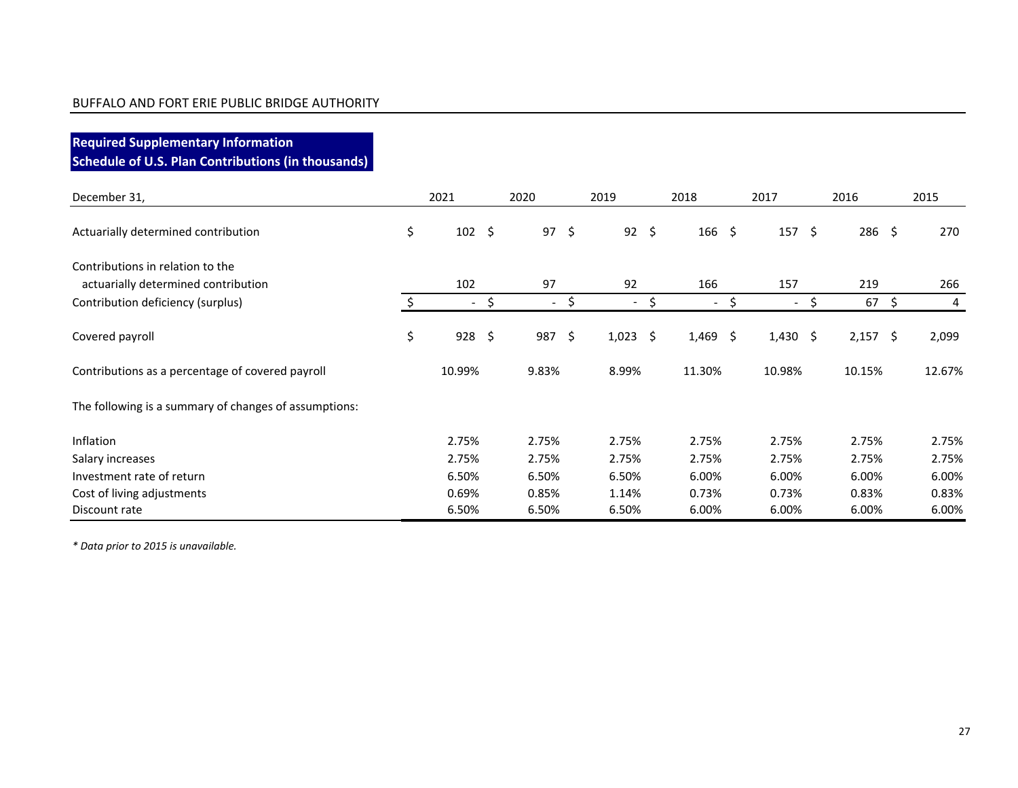**Required Supplementary Information Schedule of U.S. Plan Contributions (in thousands)**

| December 31,                                          |    | 2021                     | 2020                           | 2019                           | 2018                           |                     | 2017                     |    | 2016       | 2015   |
|-------------------------------------------------------|----|--------------------------|--------------------------------|--------------------------------|--------------------------------|---------------------|--------------------------|----|------------|--------|
| Actuarially determined contribution                   | \$ | 102                      | \$<br>$97 \quad $5$            | $92 \div$                      | 166                            | $\ddot{\mathsf{S}}$ | $157$ \$                 |    | 286 \$     | 270    |
| Contributions in relation to the                      |    |                          |                                |                                |                                |                     |                          |    |            |        |
| actuarially determined contribution                   |    | 102                      | 97                             | 92                             | 166                            |                     | 157                      |    | 219        | 266    |
| Contribution deficiency (surplus)                     | Ŝ. | $\overline{\phantom{a}}$ | \$<br>$\overline{\phantom{a}}$ | \$<br>$\overline{\phantom{a}}$ | \$<br>$\overline{\phantom{0}}$ | \$                  | $\overline{\phantom{a}}$ | \$ | 67\$       | 4      |
| Covered payroll                                       | \$ | $928$ \$                 | 987 \$                         | $1,023$ \$                     | 1,469                          | Ŝ.                  | $1,430 \; \; \zeta$      |    | $2,157$ \$ | 2,099  |
| Contributions as a percentage of covered payroll      |    | 10.99%                   | 9.83%                          | 8.99%                          | 11.30%                         |                     | 10.98%                   |    | 10.15%     | 12.67% |
| The following is a summary of changes of assumptions: |    |                          |                                |                                |                                |                     |                          |    |            |        |
| Inflation                                             |    | 2.75%                    | 2.75%                          | 2.75%                          | 2.75%                          |                     | 2.75%                    |    | 2.75%      | 2.75%  |
| Salary increases                                      |    | 2.75%                    | 2.75%                          | 2.75%                          | 2.75%                          |                     | 2.75%                    |    | 2.75%      | 2.75%  |
| Investment rate of return                             |    | 6.50%                    | 6.50%                          | 6.50%                          | 6.00%                          |                     | 6.00%                    |    | 6.00%      | 6.00%  |
| Cost of living adjustments                            |    | 0.69%                    | 0.85%                          | 1.14%                          | 0.73%                          |                     | 0.73%                    |    | 0.83%      | 0.83%  |
| Discount rate                                         |    | 6.50%                    | 6.50%                          | 6.50%                          | 6.00%                          |                     | 6.00%                    |    | 6.00%      | 6.00%  |

*\* Data prior to 2015 is unavailable.*